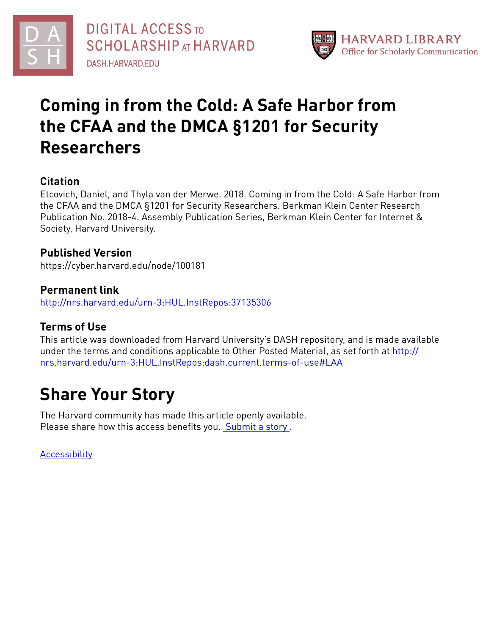



# **Coming in from the Cold: A Safe Harbor from the CFAA and the DMCA §1201 for Security Researchers**

## **Citation**

Etcovich, Daniel, and Thyla van der Merwe. 2018. Coming in from the Cold: A Safe Harbor from the CFAA and the DMCA §1201 for Security Researchers. Berkman Klein Center Research Publication No. 2018-4. Assembly Publication Series, Berkman Klein Center for Internet & Society, Harvard University.

### **Published Version**

https://cyber.harvard.edu/node/100181

**Permanent link** <http://nrs.harvard.edu/urn-3:HUL.InstRepos:37135306>

## **Terms of Use**

This article was downloaded from Harvard University's DASH repository, and is made available under the terms and conditions applicable to Other Posted Material, as set forth at [http://](http://nrs.harvard.edu/urn-3:HUL.InstRepos:dash.current.terms-of-use#LAA) [nrs.harvard.edu/urn-3:HUL.InstRepos:dash.current.terms-of-use#LAA](http://nrs.harvard.edu/urn-3:HUL.InstRepos:dash.current.terms-of-use#LAA)

# **Share Your Story**

The Harvard community has made this article openly available. Please share how this access benefits you. [Submit](http://osc.hul.harvard.edu/dash/open-access-feedback?handle=&title=Coming%20in%20from%20the%20Cold:%20A%20Safe%20Harbor%20from%20the%20CFAA%20and%20the%20DMCA%20%C2%A71201%20for%20Security%20Researchers&community=1/3874488&collection=1/13015057&owningCollection1/13015057&harvardAuthors=2491558a11f76ea7835883062c1e8f01&department) a story.

[Accessibility](https://dash.harvard.edu/pages/accessibility)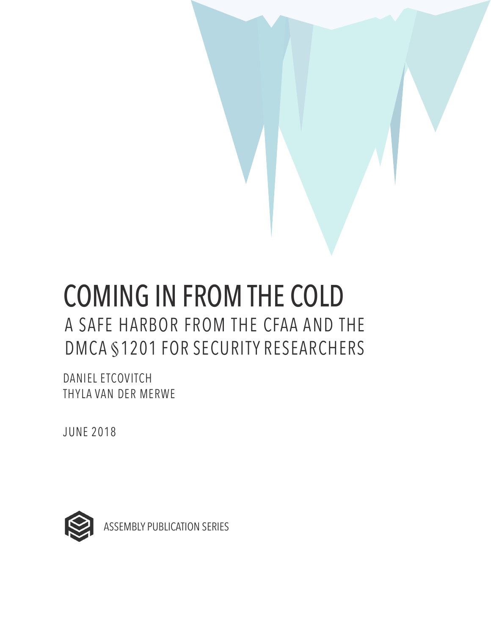# COMING IN FROM THE COLD A SAFE HARBOR FROM THE CFAA AND THE DMCA §1201 FOR SECURITY RESEARCHERS

DANIEL ETCOVITCH THYLA VAN DER MERWE

JUNE 2018



ASSEMBLY PUBLICATION SERIES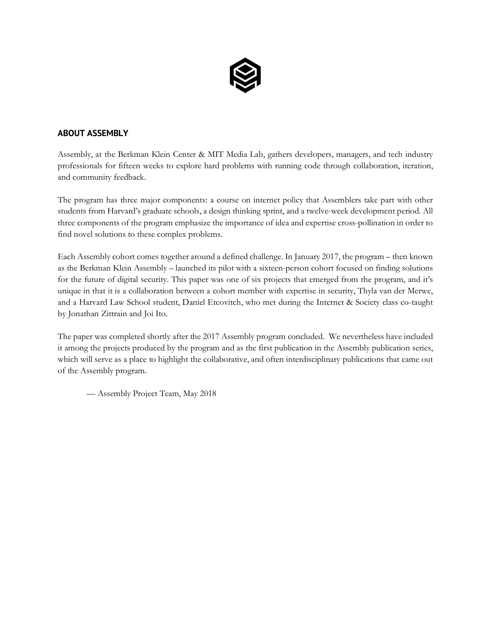

#### **ABOUT ASSEMBLY**

Assembly, at the Berkman Klein Center & MIT Media Lab, gathers developers, managers, and tech industry professionals for fifteen weeks to explore hard problems with running code through collaboration, iteration, and community feedback.

The program has three major components: a course on internet policy that Assemblers take part with other students from Harvard's graduate schools, a design thinking sprint, and a twelve-week development period. All three components of the program emphasize the importance of idea and expertise cross-pollination in order to find novel solutions to these complex problems.

Each Assembly cohort comes together around a defined challenge. In January 2017, the program – then known as the Berkman Klein Assembly – launched its pilot with a sixteen-person cohort focused on finding solutions for the future of digital security. This paper was one of six projects that emerged from the program, and it's unique in that it is a collaboration between a cohort member with expertise in security, Thyla van der Merwe, and a Harvard Law School student, Daniel Etcovitch, who met during the Internet & Society class co-taught by Jonathan Zittrain and Joi Ito.

The paper was completed shortly after the 2017 Assembly program concluded. We nevertheless have included it among the projects produced by the program and as the first publication in the Assembly publication series, which will serve as a place to highlight the collaborative, and often interdisciplinary publications that came out of the Assembly program.

— Assembly Project Team, May 2018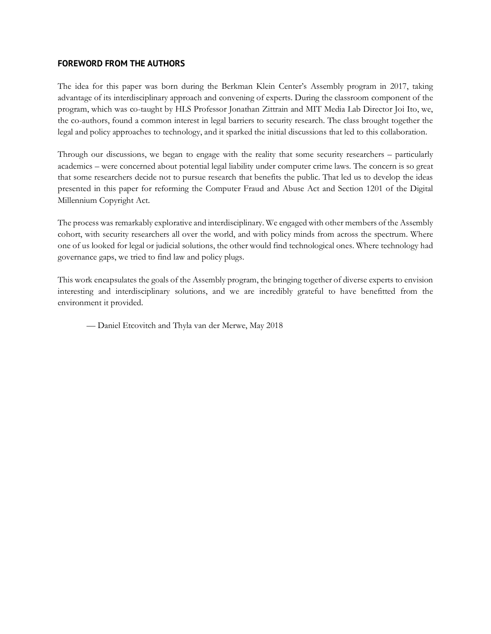#### **FOREWORD FROM THE AUTHORS**

The idea for this paper was born during the Berkman Klein Center's Assembly program in 2017, taking advantage of its interdisciplinary approach and convening of experts. During the classroom component of the program, which was co-taught by HLS Professor Jonathan Zittrain and MIT Media Lab Director Joi Ito, we, the co-authors, found a common interest in legal barriers to security research. The class brought together the legal and policy approaches to technology, and it sparked the initial discussions that led to this collaboration.

Through our discussions, we began to engage with the reality that some security researchers – particularly academics – were concerned about potential legal liability under computer crime laws. The concern is so great that some researchers decide not to pursue research that benefits the public. That led us to develop the ideas presented in this paper for reforming the Computer Fraud and Abuse Act and Section 1201 of the Digital Millennium Copyright Act.

The process was remarkably explorative and interdisciplinary. We engaged with other members of the Assembly cohort, with security researchers all over the world, and with policy minds from across the spectrum. Where one of us looked for legal or judicial solutions, the other would find technological ones. Where technology had governance gaps, we tried to find law and policy plugs.

This work encapsulates the goals of the Assembly program, the bringing together of diverse experts to envision interesting and interdisciplinary solutions, and we are incredibly grateful to have benefitted from the environment it provided.

— Daniel Etcovitch and Thyla van der Merwe, May 2018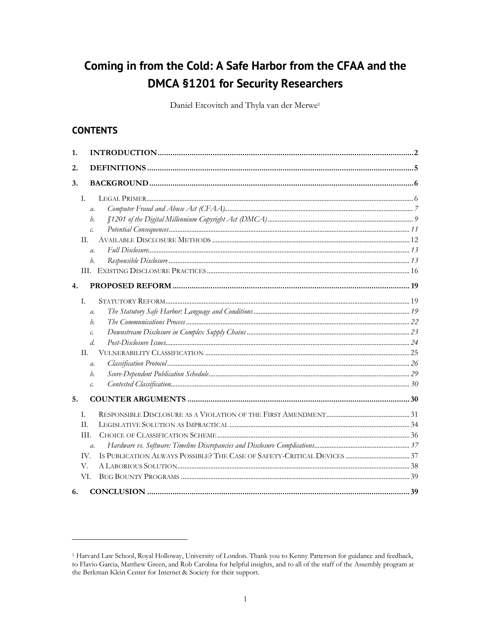# Coming in from the Cold: A Safe Harbor from the CFAA and the **DMCA §1201 for Security Researchers**

Daniel Etcovitch and Thyla van der Merwe<sup>1</sup>

#### **CONTENTS**

| 1. |                 |  |  |  |
|----|-----------------|--|--|--|
| 2. |                 |  |  |  |
| 3. |                 |  |  |  |
|    | T.              |  |  |  |
|    | $\mathfrak{a}.$ |  |  |  |
|    | b.              |  |  |  |
|    | c.              |  |  |  |
|    | II.             |  |  |  |
|    | $\mathfrak{a}.$ |  |  |  |
|    | b.              |  |  |  |
|    |                 |  |  |  |
| 4. |                 |  |  |  |
|    | L.              |  |  |  |
|    | $\mathfrak{a}.$ |  |  |  |
|    | h.              |  |  |  |
|    | $\mathcal{C}$ . |  |  |  |
|    | d.              |  |  |  |
|    | H.              |  |  |  |
|    | $\mathfrak{a}.$ |  |  |  |
|    | b.              |  |  |  |
|    | c.              |  |  |  |
| 5. |                 |  |  |  |
|    | L.              |  |  |  |
|    | H.              |  |  |  |
|    | TH.             |  |  |  |
|    | $\mathfrak{a}.$ |  |  |  |
|    | IV.             |  |  |  |
|    | V.              |  |  |  |
|    | VI.             |  |  |  |
| 6. |                 |  |  |  |

<sup>&</sup>lt;sup>1</sup> Harvard Law School, Royal Holloway, University of London. Thank you to Kenny Patterson for guidance and feedback, to Flavio Garcia, Matthew Green, and Rob Carolina for helpful insights, and to all of the staff of the Assembly program at the Berkman Klein Center for Internet & Society for their support.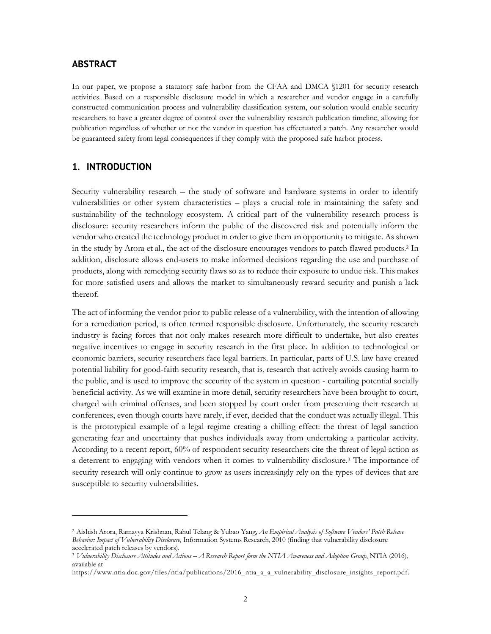#### **ABSTRACT**

In our paper, we propose a statutory safe harbor from the CFAA and DMCA  $$1201$  for security research activities. Based on a responsible disclosure model in which a researcher and vendor engage in a carefully constructed communication process and vulnerability classification system, our solution would enable security researchers to have a greater degree of control over the vulnerability research publication timeline, allowing for publication regardless of whether or not the vendor in question has effectuated a patch. Any researcher would be guaranteed safety from legal consequences if they comply with the proposed safe harbor process.

#### **1. INTRODUCTION**

<u> 1989 - Johann Stein, marwolaethau a bh</u>

Security vulnerability research – the study of software and hardware systems in order to identify vulnerabilities or other system characteristics – plays a crucial role in maintaining the safety and sustainability of the technology ecosystem. A critical part of the vulnerability research process is disclosure: security researchers inform the public of the discovered risk and potentially inform the vendor who created the technology product in order to give them an opportunity to mitigate. As shown in the study by Arora et al., the act of the disclosure encourages vendors to patch flawed products.2 In addition, disclosure allows end-users to make informed decisions regarding the use and purchase of products, along with remedying security flaws so as to reduce their exposure to undue risk. This makes for more satisfied users and allows the market to simultaneously reward security and punish a lack thereof.

The act of informing the vendor prior to public release of a vulnerability, with the intention of allowing for a remediation period, is often termed responsible disclosure. Unfortunately, the security research industry is facing forces that not only makes research more difficult to undertake, but also creates negative incentives to engage in security research in the first place. In addition to technological or economic barriers, security researchers face legal barriers. In particular, parts of U.S. law have created potential liability for good-faith security research, that is, research that actively avoids causing harm to the public, and is used to improve the security of the system in question - curtailing potential socially beneficial activity. As we will examine in more detail, security researchers have been brought to court, charged with criminal offenses, and been stopped by court order from presenting their research at conferences, even though courts have rarely, if ever, decided that the conduct was actually illegal. This is the prototypical example of a legal regime creating a chilling effect: the threat of legal sanction generating fear and uncertainty that pushes individuals away from undertaking a particular activity. According to a recent report, 60% of respondent security researchers cite the threat of legal action as a deterrent to engaging with vendors when it comes to vulnerability disclosure.3 The importance of security research will only continue to grow as users increasingly rely on the types of devices that are susceptible to security vulnerabilities.

<sup>2</sup> Aishish Arora, Ramayya Krishnan, Rahul Telang & Yubao Yang, *An Empirical Analysis of Software Vendors' Patch Release Behavior: Impact of Vulnerability Disclosure,* Information Systems Research, 2010 (finding that vulnerability disclosure accelerated patch releases by vendors).

<sup>3</sup> *Vulnerability Disclosure Attitudes and Actions – A Research Report form the NTIA Awareness and Adoption Group*, NTIA (2016), available at

https://www.ntia.doc.gov/files/ntia/publications/2016\_ntia\_a\_a\_vulnerability\_disclosure\_insights\_report.pdf.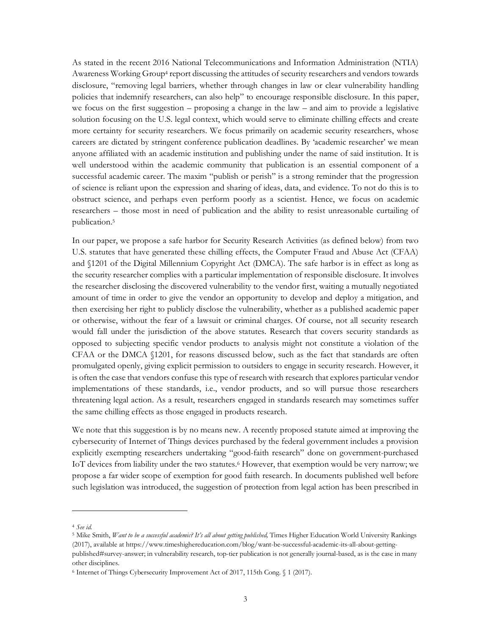As stated in the recent 2016 National Telecommunications and Information Administration (NTIA) Awareness Working Group<sup>4</sup> report discussing the attitudes of security researchers and vendors towards disclosure, "removing legal barriers, whether through changes in law or clear vulnerability handling policies that indemnify researchers, can also help" to encourage responsible disclosure. In this paper, we focus on the first suggestion – proposing a change in the law – and aim to provide a legislative solution focusing on the U.S. legal context, which would serve to eliminate chilling effects and create more certainty for security researchers. We focus primarily on academic security researchers, whose careers are dictated by stringent conference publication deadlines. By 'academic researcher' we mean anyone affiliated with an academic institution and publishing under the name of said institution. It is well understood within the academic community that publication is an essential component of a successful academic career. The maxim "publish or perish" is a strong reminder that the progression of science is reliant upon the expression and sharing of ideas, data, and evidence. To not do this is to obstruct science, and perhaps even perform poorly as a scientist. Hence, we focus on academic researchers – those most in need of publication and the ability to resist unreasonable curtailing of publication.5

In our paper, we propose a safe harbor for Security Research Activities (as defined below) from two U.S. statutes that have generated these chilling effects, the Computer Fraud and Abuse Act (CFAA) and §1201 of the Digital Millennium Copyright Act (DMCA). The safe harbor is in effect as long as the security researcher complies with a particular implementation of responsible disclosure. It involves the researcher disclosing the discovered vulnerability to the vendor first, waiting a mutually negotiated amount of time in order to give the vendor an opportunity to develop and deploy a mitigation, and then exercising her right to publicly disclose the vulnerability, whether as a published academic paper or otherwise, without the fear of a lawsuit or criminal charges. Of course, not all security research would fall under the jurisdiction of the above statutes. Research that covers security standards as opposed to subjecting specific vendor products to analysis might not constitute a violation of the CFAA or the DMCA §1201, for reasons discussed below, such as the fact that standards are often promulgated openly, giving explicit permission to outsiders to engage in security research. However, it is often the case that vendors confuse this type of research with research that explores particular vendor implementations of these standards, i.e., vendor products, and so will pursue those researchers threatening legal action. As a result, researchers engaged in standards research may sometimes suffer the same chilling effects as those engaged in products research.

We note that this suggestion is by no means new. A recently proposed statute aimed at improving the cybersecurity of Internet of Things devices purchased by the federal government includes a provision explicitly exempting researchers undertaking "good-faith research" done on government-purchased IoT devices from liability under the two statutes. <sup>6</sup> However, that exemption would be very narrow; we propose a far wider scope of exemption for good faith research. In documents published well before such legislation was introduced, the suggestion of protection from legal action has been prescribed in

<sup>4</sup> *See id.*

<sup>5</sup> Mike Smith, *Want to be a successful academic? It's all about getting published,* Times Higher Education World University Rankings (2017), available at https://www.timeshighereducation.com/blog/want-be-successful-academic-its-all-about-getting-

published#survey-answer; in vulnerability research, top-tier publication is not generally journal-based, as is the case in many other disciplines.

<sup>6</sup> Internet of Things Cybersecurity Improvement Act of 2017, 115th Cong. § 1 (2017).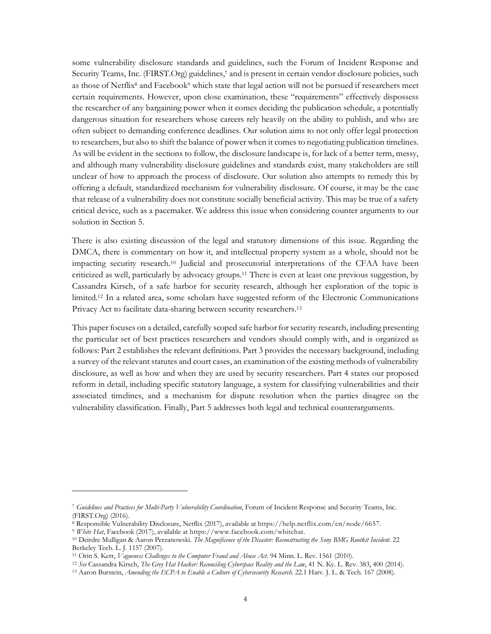some vulnerability disclosure standards and guidelines, such the Forum of Incident Response and Security Teams, Inc. (FIRST.Org) guidelines, <sup>7</sup> and is present in certain vendor disclosure policies, such as those of Netflix<sup>8</sup> and Facebook<sup>9</sup> which state that legal action will not be pursued if researchers meet certain requirements. However, upon close examination, these "requirements" effectively dispossess the researcher of any bargaining power when it comes deciding the publication schedule, a potentially dangerous situation for researchers whose careers rely heavily on the ability to publish, and who are often subject to demanding conference deadlines. Our solution aims to not only offer legal protection to researchers, but also to shift the balance of power when it comes to negotiating publication timelines. As will be evident in the sections to follow, the disclosure landscape is, for lack of a better term, messy, and although many vulnerability disclosure guidelines and standards exist, many stakeholders are still unclear of how to approach the process of disclosure. Our solution also attempts to remedy this by offering a default, standardized mechanism for vulnerability disclosure. Of course, it may be the case that release of a vulnerability does not constitute socially beneficial activity. This may be true of a safety critical device, such as a pacemaker. We address this issue when considering counter arguments to our solution in Section 5.

There is also existing discussion of the legal and statutory dimensions of this issue. Regarding the DMCA, there is commentary on how it, and intellectual property system as a whole, should not be impacting security research.10 Judicial and prosecutorial interpretations of the CFAA have been criticized as well, particularly by advocacy groups.11 There is even at least one previous suggestion, by Cassandra Kirsch, of a safe harbor for security research, although her exploration of the topic is limited.12 In a related area, some scholars have suggested reform of the Electronic Communications Privacy Act to facilitate data-sharing between security researchers.<sup>13</sup>

This paper focuses on a detailed, carefully scoped safe harbor for security research, including presenting the particular set of best practices researchers and vendors should comply with, and is organized as follows: Part 2 establishes the relevant definitions. Part 3 provides the necessary background, including a survey of the relevant statutes and court cases, an examination of the existing methods of vulnerability disclosure, as well as how and when they are used by security researchers. Part 4 states our proposed reform in detail, including specific statutory language, a system for classifying vulnerabilities and their associated timelines, and a mechanism for dispute resolution when the parties disagree on the vulnerability classification. Finally, Part 5 addresses both legal and technical counterarguments.

<sup>7</sup> *Guidelines and Practices for Multi-Party Vulnerability Coordination*, Forum of Incident Response and Security Teams, Inc. (FIRST.Org) (2016).

<sup>8</sup> Responsible Vulnerability Disclosure, Netflix (2017), available at https://help.netflix.com/en/node/6657.

<sup>9</sup> *White Hat*, Facebook (2017), available at https://www.facebook.com/whitehat.

<sup>10</sup> Deirdre Mulligan & Aaron Perzanowski. *The Magnificence of the Disaster: Reconstructing the Sony BMG Rootkit Incident.* 22 Berkeley Tech. L. J. 1157 (2007).

<sup>11</sup> Orin S. Kerr, *Vagueness Challenges to the Computer Fraud and Abuse Act*. 94 Minn. L. Rev. 1561 (2010).

<sup>12</sup> *See* Cassandra Kirsch, *The Grey Hat Hacker: Reconciling Cyberspace Reality and the Law*, 41 N. Ky. L. Rev. 383, 400 (2014).

<sup>&</sup>lt;sup>13</sup> Aaron Burstein, *Amending the ECPA to Enable a Culture of Cybersecurity Research.* 22.1 Harv. J. L. & Tech. 167 (2008).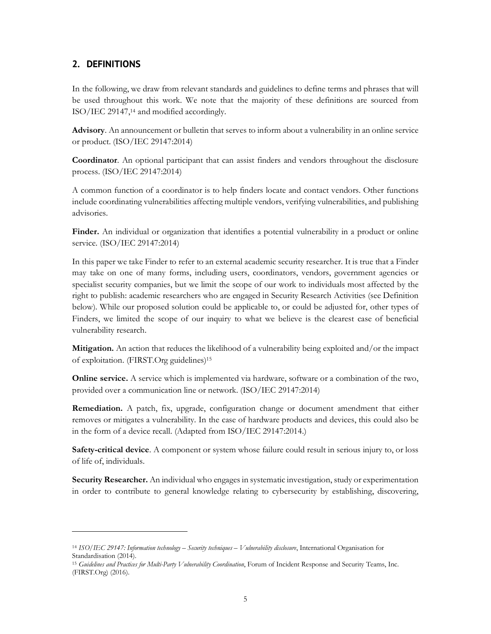#### **2. DEFINITIONS**

In the following, we draw from relevant standards and guidelines to define terms and phrases that will be used throughout this work. We note that the majority of these definitions are sourced from ISO/IEC 29147, <sup>14</sup> and modified accordingly.

**Advisory**. An announcement or bulletin that serves to inform about a vulnerability in an online service or product. (ISO/IEC 29147:2014)

**Coordinator**. An optional participant that can assist finders and vendors throughout the disclosure process. (ISO/IEC 29147:2014)

A common function of a coordinator is to help finders locate and contact vendors. Other functions include coordinating vulnerabilities affecting multiple vendors, verifying vulnerabilities, and publishing advisories.

**Finder.** An individual or organization that identifies a potential vulnerability in a product or online service. (ISO/IEC 29147:2014)

In this paper we take Finder to refer to an external academic security researcher. It is true that a Finder may take on one of many forms, including users, coordinators, vendors, government agencies or specialist security companies, but we limit the scope of our work to individuals most affected by the right to publish: academic researchers who are engaged in Security Research Activities (see Definition below). While our proposed solution could be applicable to, or could be adjusted for, other types of Finders, we limited the scope of our inquiry to what we believe is the clearest case of beneficial vulnerability research.

**Mitigation.** An action that reduces the likelihood of a vulnerability being exploited and/or the impact of exploitation. (FIRST.Org guidelines)15

**Online service.** A service which is implemented via hardware, software or a combination of the two, provided over a communication line or network. (ISO/IEC 29147:2014)

**Remediation.** A patch, fix, upgrade, configuration change or document amendment that either removes or mitigates a vulnerability. In the case of hardware products and devices, this could also be in the form of a device recall. (Adapted from ISO/IEC 29147:2014.)

**Safety-critical device**. A component or system whose failure could result in serious injury to, or loss of life of, individuals.

**Security Researcher.** An individual who engages in systematic investigation, study or experimentation in order to contribute to general knowledge relating to cybersecurity by establishing, discovering,

<sup>14</sup> *ISO/IEC 29147: Information technology – Security techniques – Vulnerability disclosure*, International Organisation for Standardisation (2014).

<sup>15</sup> *Guidelines and Practices for Multi-Party Vulnerability Coordination*, Forum of Incident Response and Security Teams, Inc. (FIRST.Org) (2016).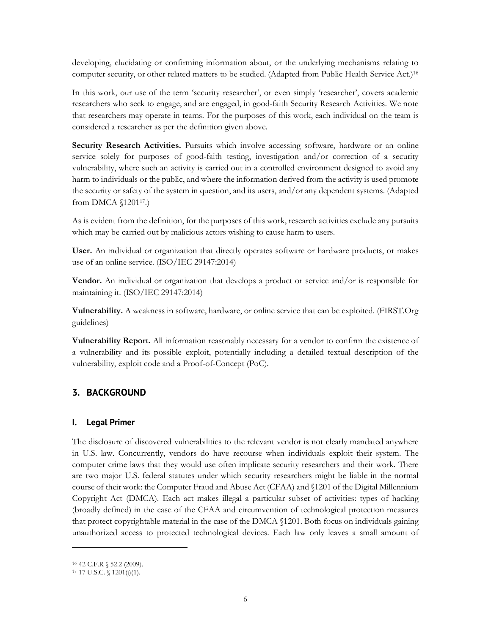developing, elucidating or confirming information about, or the underlying mechanisms relating to computer security, or other related matters to be studied. (Adapted from Public Health Service Act.)16

In this work, our use of the term 'security researcher', or even simply 'researcher', covers academic researchers who seek to engage, and are engaged, in good-faith Security Research Activities. We note that researchers may operate in teams. For the purposes of this work, each individual on the team is considered a researcher as per the definition given above.

**Security Research Activities.** Pursuits which involve accessing software, hardware or an online service solely for purposes of good-faith testing, investigation and/or correction of a security vulnerability, where such an activity is carried out in a controlled environment designed to avoid any harm to individuals or the public, and where the information derived from the activity is used promote the security or safety of the system in question, and its users, and/or any dependent systems. (Adapted from DMCA §120117.)

As is evident from the definition, for the purposes of this work, research activities exclude any pursuits which may be carried out by malicious actors wishing to cause harm to users.

**User.** An individual or organization that directly operates software or hardware products, or makes use of an online service. (ISO/IEC 29147:2014)

**Vendor.** An individual or organization that develops a product or service and/or is responsible for maintaining it. (ISO/IEC 29147:2014)

**Vulnerability.** A weakness in software, hardware, or online service that can be exploited. (FIRST.Org guidelines)

**Vulnerability Report.** All information reasonably necessary for a vendor to confirm the existence of a vulnerability and its possible exploit, potentially including a detailed textual description of the vulnerability, exploit code and a Proof-of-Concept (PoC).

#### **3. BACKGROUND**

#### **I. Legal Primer**

The disclosure of discovered vulnerabilities to the relevant vendor is not clearly mandated anywhere in U.S. law. Concurrently, vendors do have recourse when individuals exploit their system. The computer crime laws that they would use often implicate security researchers and their work. There are two major U.S. federal statutes under which security researchers might be liable in the normal course of their work: the Computer Fraud and Abuse Act (CFAA) and §1201 of the Digital Millennium Copyright Act (DMCA). Each act makes illegal a particular subset of activities: types of hacking (broadly defined) in the case of the CFAA and circumvention of technological protection measures that protect copyrightable material in the case of the DMCA §1201. Both focus on individuals gaining unauthorized access to protected technological devices. Each law only leaves a small amount of

<sup>16</sup> 42 C.F.R § 52.2 (2009).

 $17$  17 U.S.C. § 1201(j)(1).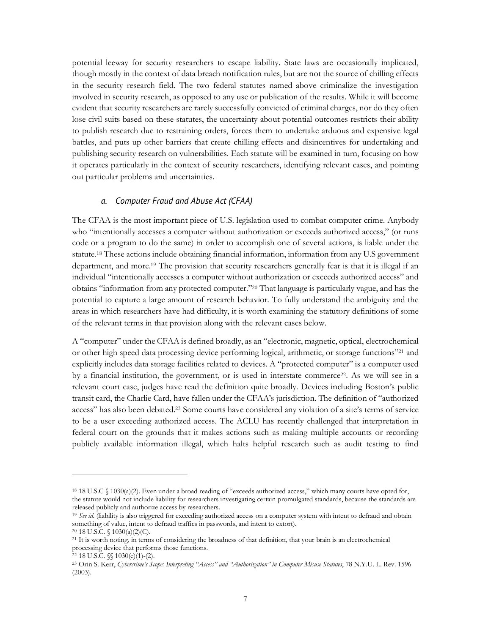potential leeway for security researchers to escape liability. State laws are occasionally implicated, though mostly in the context of data breach notification rules, but are not the source of chilling effects in the security research field. The two federal statutes named above criminalize the investigation involved in security research, as opposed to any use or publication of the results. While it will become evident that security researchers are rarely successfully convicted of criminal charges, nor do they often lose civil suits based on these statutes, the uncertainty about potential outcomes restricts their ability to publish research due to restraining orders, forces them to undertake arduous and expensive legal battles, and puts up other barriers that create chilling effects and disincentives for undertaking and publishing security research on vulnerabilities. Each statute will be examined in turn, focusing on how it operates particularly in the context of security researchers, identifying relevant cases, and pointing out particular problems and uncertainties.

#### *a. Computer Fraud and Abuse Act (CFAA)*

The CFAA is the most important piece of U.S. legislation used to combat computer crime. Anybody who "intentionally accesses a computer without authorization or exceeds authorized access," (or runs code or a program to do the same) in order to accomplish one of several actions, is liable under the statute.18 These actions include obtaining financial information, information from any U.S government department, and more. <sup>19</sup> The provision that security researchers generally fear is that it is illegal if an individual "intentionally accesses a computer without authorization or exceeds authorized access" and obtains "information from any protected computer."20 That language is particularly vague, and has the potential to capture a large amount of research behavior. To fully understand the ambiguity and the areas in which researchers have had difficulty, it is worth examining the statutory definitions of some of the relevant terms in that provision along with the relevant cases below.

A "computer" under the CFAA is defined broadly, as an "electronic, magnetic, optical, electrochemical or other high speed data processing device performing logical, arithmetic, or storage functions"21 and explicitly includes data storage facilities related to devices. A "protected computer" is a computer used by a financial institution, the government, or is used in interstate commerce22. As we will see in a relevant court case, judges have read the definition quite broadly. Devices including Boston's public transit card, the Charlie Card, have fallen under the CFAA's jurisdiction. The definition of "authorized access" has also been debated. <sup>23</sup> Some courts have considered any violation of a site's terms of service to be a user exceeding authorized access. The ACLU has recently challenged that interpretation in federal court on the grounds that it makes actions such as making multiple accounts or recording publicly available information illegal, which halts helpful research such as audit testing to find

<sup>18</sup> 18 U.S.C § 1030(a)(2). Even under a broad reading of "exceeds authorized access," which many courts have opted for, the statute would not include liability for researchers investigating certain promulgated standards, because the standards are released publicly and authorize access by researchers.

<sup>&</sup>lt;sup>19</sup> See id. (liability is also triggered for exceeding authorized access on a computer system with intent to defraud and obtain something of value, intent to defraud traffics in passwords, and intent to extort).

<sup>20</sup> 18 U.S.C. § 1030(a)(2)(C).

<sup>21</sup> It is worth noting, in terms of considering the broadness of that definition, that your brain is an electrochemical processing device that performs those functions.

<sup>22</sup> 18 U.S.C. §§ 1030(e)(1)-(2).

<sup>23</sup> Orin S. Kerr, *Cybercrime's Scope: Interpreting "Access" and "Authorization" in Computer Misuse Statutes*, 78 N.Y.U. L. Rev. 1596 (2003).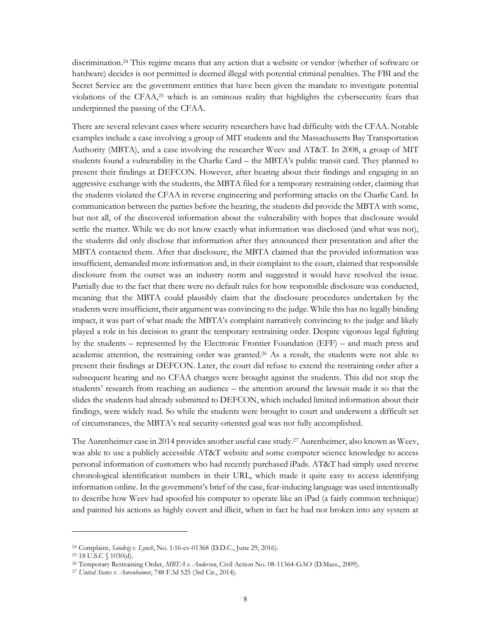discrimination. <sup>24</sup> This regime means that any action that a website or vendor (whether of software or hardware) decides is not permitted is deemed illegal with potential criminal penalties. The FBI and the Secret Service are the government entities that have been given the mandate to investigate potential violations of the CFAA, <sup>25</sup> which is an ominous reality that highlights the cybersecurity fears that underpinned the passing of the CFAA.

There are several relevant cases where security researchers have had difficulty with the CFAA. Notable examples include a case involving a group of MIT students and the Massachusetts Bay Transportation Authority (MBTA), and a case involving the researcher Weev and AT&T. In 2008, a group of MIT students found a vulnerability in the Charlie Card – the MBTA's public transit card. They planned to present their findings at DEFCON. However, after hearing about their findings and engaging in an aggressive exchange with the students, the MBTA filed for a temporary restraining order, claiming that the students violated the CFAA in reverse engineering and performing attacks on the Charlie Card. In communication between the parties before the hearing, the students did provide the MBTA with some, but not all, of the discovered information about the vulnerability with hopes that disclosure would settle the matter. While we do not know exactly what information was disclosed (and what was not), the students did only disclose that information after they announced their presentation and after the MBTA contacted them. After that disclosure, the MBTA claimed that the provided information was insufficient, demanded more information and, in their complaint to the court, claimed that responsible disclosure from the outset was an industry norm and suggested it would have resolved the issue. Partially due to the fact that there were no default rules for how responsible disclosure was conducted, meaning that the MBTA could plausibly claim that the disclosure procedures undertaken by the students were insufficient, their argument was convincing to the judge. While this has no legally binding impact, it was part of what made the MBTA's complaint narratively convincing to the judge and likely played a role in his decision to grant the temporary restraining order. Despite vigorous legal fighting by the students – represented by the Electronic Frontier Foundation (EFF) – and much press and academic attention, the restraining order was granted. <sup>26</sup> As a result, the students were not able to present their findings at DEFCON. Later, the court did refuse to extend the restraining order after a subsequent hearing and no CFAA charges were brought against the students. This did not stop the students' research from reaching an audience – the attention around the lawsuit made it so that the slides the students had already submitted to DEFCON, which included limited information about their findings, were widely read. So while the students were brought to court and underwent a difficult set of circumstances, the MBTA's real security-oriented goal was not fully accomplished.

The Aurenheimer case in 2014 provides another useful case study. <sup>27</sup> Aurenheimer, also known as Weev, was able to use a publicly accessible AT&T website and some computer science knowledge to access personal information of customers who had recently purchased iPads. AT&T had simply used reverse chronological identification numbers in their URL, which made it quite easy to access identifying information online. In the government's brief of the case, fear-inducing language was used intentionally to describe how Weev had spoofed his computer to operate like an iPad (a fairly common technique) and painted his actions as highly covert and illicit, when in fact he had not broken into any system at

<sup>24</sup> Complaint, *Sandvig v. Lynch*, No. 1:16-cv-01368 (D.D.C., June 29, 2016).

<sup>25</sup> 18 U.S.C § 1030(d).

<sup>26</sup> Temporary Restraining Order, *MBTA v. Anderson*, Civil Action No. 08-11364-GAO (D.Mass., 2009).

<sup>27</sup> *United States v. Aurenheimer*, 748 F.3d 525 (3rd Cir., 2014).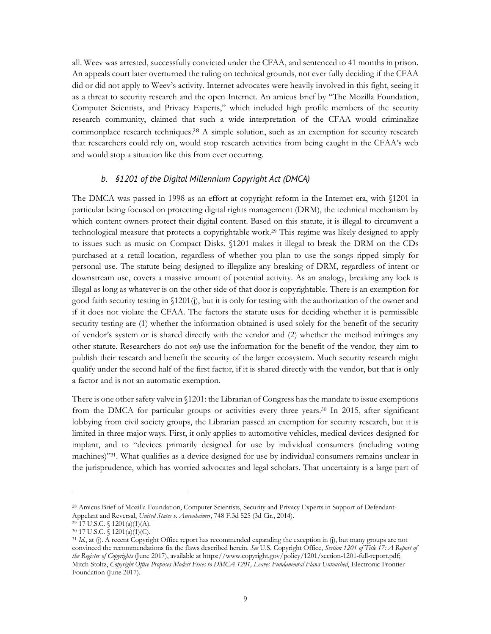all. Weev was arrested, successfully convicted under the CFAA, and sentenced to 41 months in prison. An appeals court later overturned the ruling on technical grounds, not ever fully deciding if the CFAA did or did not apply to Weev's activity. Internet advocates were heavily involved in this fight, seeing it as a threat to security research and the open Internet. An amicus brief by "The Mozilla Foundation, Computer Scientists, and Privacy Experts," which included high profile members of the security research community, claimed that such a wide interpretation of the CFAA would criminalize commonplace research techniques. <sup>28</sup> A simple solution, such as an exemption for security research that researchers could rely on, would stop research activities from being caught in the CFAA's web and would stop a situation like this from ever occurring.

#### *b. §1201 of the Digital Millennium Copyright Act (DMCA)*

The DMCA was passed in 1998 as an effort at copyright reform in the Internet era, with §1201 in particular being focused on protecting digital rights management (DRM), the technical mechanism by which content owners protect their digital content. Based on this statute, it is illegal to circumvent a technological measure that protects a copyrightable work.29 This regime was likely designed to apply to issues such as music on Compact Disks. §1201 makes it illegal to break the DRM on the CDs purchased at a retail location, regardless of whether you plan to use the songs ripped simply for personal use. The statute being designed to illegalize any breaking of DRM, regardless of intent or downstream use, covers a massive amount of potential activity. As an analogy, breaking any lock is illegal as long as whatever is on the other side of that door is copyrightable. There is an exemption for good faith security testing in §1201(j), but it is only for testing with the authorization of the owner and if it does not violate the CFAA. The factors the statute uses for deciding whether it is permissible security testing are (1) whether the information obtained is used solely for the benefit of the security of vendor's system or is shared directly with the vendor and (2) whether the method infringes any other statute. Researchers do not *only* use the information for the benefit of the vendor, they aim to publish their research and benefit the security of the larger ecosystem. Much security research might qualify under the second half of the first factor, if it is shared directly with the vendor, but that is only a factor and is not an automatic exemption.

There is one other safety valve in §1201: the Librarian of Congress has the mandate to issue exemptions from the DMCA for particular groups or activities every three years.30 In 2015, after significant lobbying from civil society groups, the Librarian passed an exemption for security research, but it is limited in three major ways. First, it only applies to automotive vehicles, medical devices designed for implant, and to "devices primarily designed for use by individual consumers (including voting machines)"31. What qualifies as a device designed for use by individual consumers remains unclear in the jurisprudence, which has worried advocates and legal scholars. That uncertainty is a large part of

<sup>28</sup> Amicus Brief of Mozilla Foundation, Computer Scientists, Security and Privacy Experts in Support of Defendant-Appelant and Reversal, *United States v. Aurenheimer*, 748 F.3d 525 (3d Cir., 2014).

<sup>29</sup> 17 U.S.C. § 1201(a)(1)(A).

 $30\,$  17 U.S.C.  $\check{S}$  1201(a)(1)(C).

<sup>31</sup> *Id.*, at (j). A recent Copyright Office report has recommended expanding the exception in (j), but many groups are not convinced the recommendations fix the flaws described herein. *See* U.S. Copyright Office, *Section 1201 of Title 17: A Report of the Register of Copyrights* (June 2017), available at https://www.copyright.gov/policy/1201/section-1201-full-report.pdf; Mitch Stoltz, *Copyright Office Proposes Modest Fixes to DMCA 1201, Leaves Fundamental Flaws Untouched*, Electronic Frontier Foundation (June 2017).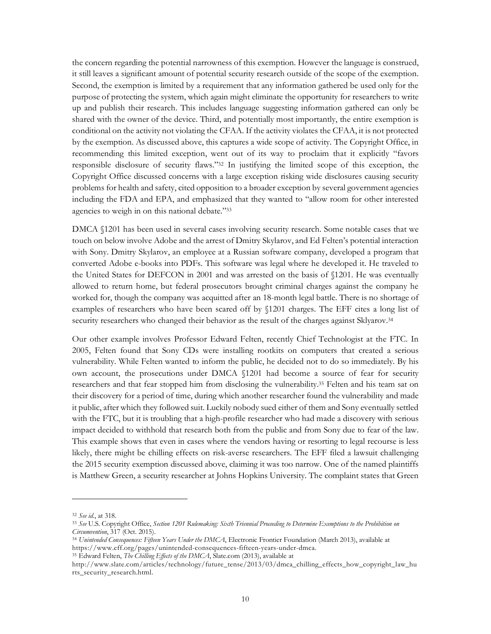the concern regarding the potential narrowness of this exemption. However the language is construed, it still leaves a significant amount of potential security research outside of the scope of the exemption. Second, the exemption is limited by a requirement that any information gathered be used only for the purpose of protecting the system, which again might eliminate the opportunity for researchers to write up and publish their research. This includes language suggesting information gathered can only be shared with the owner of the device. Third, and potentially most importantly, the entire exemption is conditional on the activity not violating the CFAA. If the activity violates the CFAA, it is not protected by the exemption. As discussed above, this captures a wide scope of activity. The Copyright Office, in recommending this limited exception, went out of its way to proclaim that it explicitly "favors responsible disclosure of security flaws."32 In justifying the limited scope of this exception, the Copyright Office discussed concerns with a large exception risking wide disclosures causing security problems for health and safety, cited opposition to a broader exception by several government agencies including the FDA and EPA, and emphasized that they wanted to "allow room for other interested agencies to weigh in on this national debate."33

DMCA §1201 has been used in several cases involving security research. Some notable cases that we touch on below involve Adobe and the arrest of Dmitry Skylarov, and Ed Felten's potential interaction with Sony. Dmitry Skylarov, an employee at a Russian software company, developed a program that converted Adobe e-books into PDFs. This software was legal where he developed it. He traveled to the United States for DEFCON in 2001 and was arrested on the basis of §1201. He was eventually allowed to return home, but federal prosecutors brought criminal charges against the company he worked for, though the company was acquitted after an 18-month legal battle. There is no shortage of examples of researchers who have been scared off by §1201 charges. The EFF cites a long list of security researchers who changed their behavior as the result of the charges against Sklyarov.<sup>34</sup>

Our other example involves Professor Edward Felten, recently Chief Technologist at the FTC. In 2005, Felten found that Sony CDs were installing rootkits on computers that created a serious vulnerability. While Felten wanted to inform the public, he decided not to do so immediately. By his own account, the prosecutions under DMCA §1201 had become a source of fear for security researchers and that fear stopped him from disclosing the vulnerability. <sup>35</sup> Felten and his team sat on their discovery for a period of time, during which another researcher found the vulnerability and made it public, after which they followed suit. Luckily nobody sued either of them and Sony eventually settled with the FTC, but it is troubling that a high-profile researcher who had made a discovery with serious impact decided to withhold that research both from the public and from Sony due to fear of the law. This example shows that even in cases where the vendors having or resorting to legal recourse is less likely, there might be chilling effects on risk-averse researchers. The EFF filed a lawsuit challenging the 2015 security exemption discussed above, claiming it was too narrow. One of the named plaintiffs is Matthew Green, a security researcher at Johns Hopkins University. The complaint states that Green

<sup>32</sup> *See id.*, at 318.

<sup>33</sup> *See* U.S. Copyright Office, *Section 1201 Rulemaking: Sixth Triennial Proceeding to Determine Exemptions to the Prohibition on Circumvention*, 317 (Oct. 2015).

<sup>34</sup> *Unintended Consequences: Fifteen Years Under the DMCA*, Electronic Frontier Foundation (March 2013), available at https://www.eff.org/pages/unintended-consequences-fifteen-years-under-dmca.

<sup>35</sup> Edward Felten, *The Chilling Effects of the DMCA*, Slate.com (2013), available at

http://www.slate.com/articles/technology/future\_tense/2013/03/dmca\_chilling\_effects\_how\_copyright\_law\_hu rts\_security\_research.html.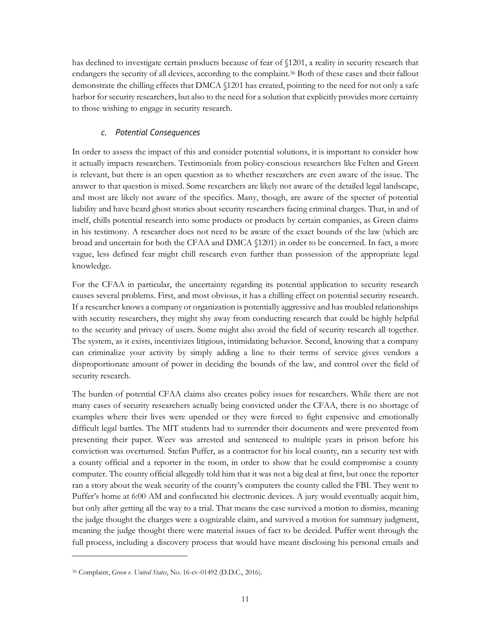has declined to investigate certain products because of fear of §1201, a reality in security research that endangers the security of all devices, according to the complaint.36 Both of these cases and their fallout demonstrate the chilling effects that DMCA §1201 has created, pointing to the need for not only a safe harbor for security researchers, but also to the need for a solution that explicitly provides more certainty to those wishing to engage in security research.

#### *c. Potential Consequences*

In order to assess the impact of this and consider potential solutions, it is important to consider how it actually impacts researchers. Testimonials from policy-conscious researchers like Felten and Green is relevant, but there is an open question as to whether researchers are even aware of the issue. The answer to that question is mixed. Some researchers are likely not aware of the detailed legal landscape, and most are likely not aware of the specifics. Many, though, are aware of the specter of potential liability and have heard ghost stories about security researchers facing criminal charges. That, in and of itself, chills potential research into some products or products by certain companies, as Green claims in his testimony. A researcher does not need to be aware of the exact bounds of the law (which are broad and uncertain for both the CFAA and DMCA §1201) in order to be concerned. In fact, a more vague, less defined fear might chill research even further than possession of the appropriate legal knowledge.

For the CFAA in particular, the uncertainty regarding its potential application to security research causes several problems. First, and most obvious, it has a chilling effect on potential security research. If a researcher knows a company or organization is potentially aggressive and has troubled relationships with security researchers, they might shy away from conducting research that could be highly helpful to the security and privacy of users. Some might also avoid the field of security research all together. The system, as it exists, incentivizes litigious, intimidating behavior. Second, knowing that a company can criminalize your activity by simply adding a line to their terms of service gives vendors a disproportionate amount of power in deciding the bounds of the law, and control over the field of security research.

The burden of potential CFAA claims also creates policy issues for researchers. While there are not many cases of security researchers actually being convicted under the CFAA, there is no shortage of examples where their lives were upended or they were forced to fight expensive and emotionally difficult legal battles. The MIT students had to surrender their documents and were prevented from presenting their paper. Weev was arrested and sentenced to multiple years in prison before his conviction was overturned. Stefan Puffer, as a contractor for his local county, ran a security test with a county official and a reporter in the room, in order to show that he could compromise a county computer. The county official allegedly told him that it was not a big deal at first, but once the reporter ran a story about the weak security of the county's computers the county called the FBI. They went to Puffer's home at 6:00 AM and confiscated his electronic devices. A jury would eventually acquit him, but only after getting all the way to a trial. That means the case survived a motion to dismiss, meaning the judge thought the charges were a cognizable claim, and survived a motion for summary judgment, meaning the judge thought there were material issues of fact to be decided. Puffer went through the full process, including a discovery process that would have meant disclosing his personal emails and

<sup>36</sup> Complaint, *Green v. United States*, No. 16-cv-01492 (D.D.C., 2016).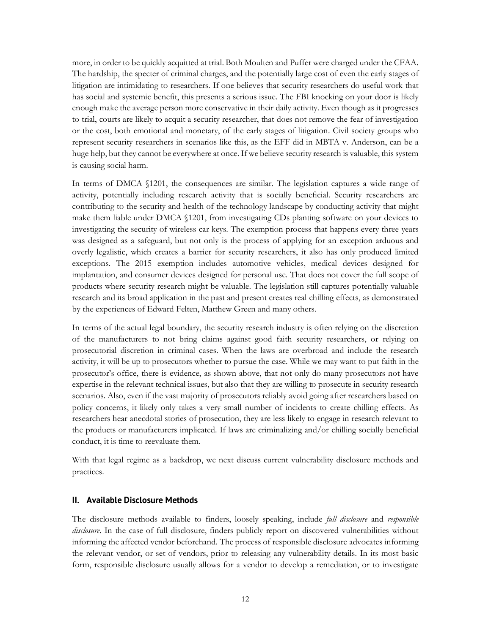more, in order to be quickly acquitted at trial. Both Moulten and Puffer were charged under the CFAA. The hardship, the specter of criminal charges, and the potentially large cost of even the early stages of litigation are intimidating to researchers. If one believes that security researchers do useful work that has social and systemic benefit, this presents a serious issue. The FBI knocking on your door is likely enough make the average person more conservative in their daily activity. Even though as it progresses to trial, courts are likely to acquit a security researcher, that does not remove the fear of investigation or the cost, both emotional and monetary, of the early stages of litigation. Civil society groups who represent security researchers in scenarios like this, as the EFF did in MBTA v. Anderson, can be a huge help, but they cannot be everywhere at once. If we believe security research is valuable, this system is causing social harm.

In terms of DMCA §1201, the consequences are similar. The legislation captures a wide range of activity, potentially including research activity that is socially beneficial. Security researchers are contributing to the security and health of the technology landscape by conducting activity that might make them liable under DMCA §1201, from investigating CDs planting software on your devices to investigating the security of wireless car keys. The exemption process that happens every three years was designed as a safeguard, but not only is the process of applying for an exception arduous and overly legalistic, which creates a barrier for security researchers, it also has only produced limited exceptions. The 2015 exemption includes automotive vehicles, medical devices designed for implantation, and consumer devices designed for personal use. That does not cover the full scope of products where security research might be valuable. The legislation still captures potentially valuable research and its broad application in the past and present creates real chilling effects, as demonstrated by the experiences of Edward Felten, Matthew Green and many others.

In terms of the actual legal boundary, the security research industry is often relying on the discretion of the manufacturers to not bring claims against good faith security researchers, or relying on prosecutorial discretion in criminal cases. When the laws are overbroad and include the research activity, it will be up to prosecutors whether to pursue the case. While we may want to put faith in the prosecutor's office, there is evidence, as shown above, that not only do many prosecutors not have expertise in the relevant technical issues, but also that they are willing to prosecute in security research scenarios. Also, even if the vast majority of prosecutors reliably avoid going after researchers based on policy concerns, it likely only takes a very small number of incidents to create chilling effects. As researchers hear anecdotal stories of prosecution, they are less likely to engage in research relevant to the products or manufacturers implicated. If laws are criminalizing and/or chilling socially beneficial conduct, it is time to reevaluate them.

With that legal regime as a backdrop, we next discuss current vulnerability disclosure methods and practices.

#### **II. Available Disclosure Methods**

The disclosure methods available to finders, loosely speaking, include *full disclosure* and *responsible disclosure*. In the case of full disclosure, finders publicly report on discovered vulnerabilities without informing the affected vendor beforehand. The process of responsible disclosure advocates informing the relevant vendor, or set of vendors, prior to releasing any vulnerability details. In its most basic form, responsible disclosure usually allows for a vendor to develop a remediation, or to investigate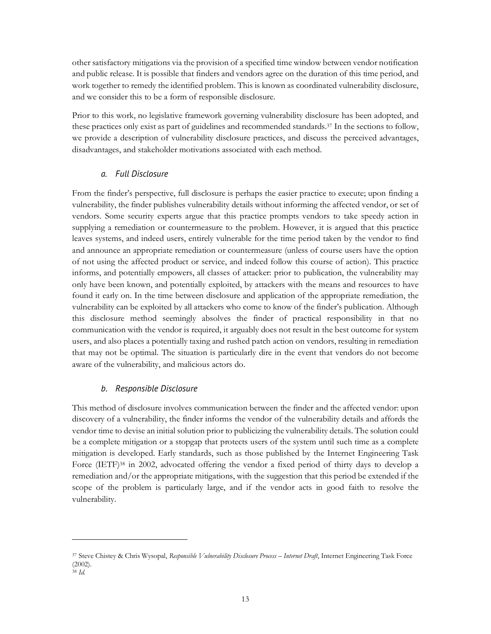other satisfactory mitigations via the provision of a specified time window between vendor notification and public release. It is possible that finders and vendors agree on the duration of this time period, and work together to remedy the identified problem. This is known as coordinated vulnerability disclosure, and we consider this to be a form of responsible disclosure.

Prior to this work, no legislative framework governing vulnerability disclosure has been adopted, and these practices only exist as part of guidelines and recommended standards. <sup>37</sup> In the sections to follow, we provide a description of vulnerability disclosure practices, and discuss the perceived advantages, disadvantages, and stakeholder motivations associated with each method.

#### *a. Full Disclosure*

From the finder's perspective, full disclosure is perhaps the easier practice to execute; upon finding a vulnerability, the finder publishes vulnerability details without informing the affected vendor, or set of vendors. Some security experts argue that this practice prompts vendors to take speedy action in supplying a remediation or countermeasure to the problem. However, it is argued that this practice leaves systems, and indeed users, entirely vulnerable for the time period taken by the vendor to find and announce an appropriate remediation or countermeasure (unless of course users have the option of not using the affected product or service, and indeed follow this course of action). This practice informs, and potentially empowers, all classes of attacker: prior to publication, the vulnerability may only have been known, and potentially exploited, by attackers with the means and resources to have found it early on. In the time between disclosure and application of the appropriate remediation, the vulnerability can be exploited by all attackers who come to know of the finder's publication. Although this disclosure method seemingly absolves the finder of practical responsibility in that no communication with the vendor is required, it arguably does not result in the best outcome for system users, and also places a potentially taxing and rushed patch action on vendors, resulting in remediation that may not be optimal. The situation is particularly dire in the event that vendors do not become aware of the vulnerability, and malicious actors do.

#### *b. Responsible Disclosure*

 

This method of disclosure involves communication between the finder and the affected vendor: upon discovery of a vulnerability, the finder informs the vendor of the vulnerability details and affords the vendor time to devise an initial solution prior to publicizing the vulnerability details. The solution could be a complete mitigation or a stopgap that protects users of the system until such time as a complete mitigation is developed. Early standards, such as those published by the Internet Engineering Task Force (IETF)<sup>38</sup> in 2002, advocated offering the vendor a fixed period of thirty days to develop a remediation and/or the appropriate mitigations, with the suggestion that this period be extended if the scope of the problem is particularly large, and if the vendor acts in good faith to resolve the vulnerability.

<sup>37</sup> Steve Chistey & Chris Wysopal, *Responsible Vulnerability Disclosure Process – Internet Draft*, Internet Engineering Task Force (2002).

<sup>38</sup> *Id.*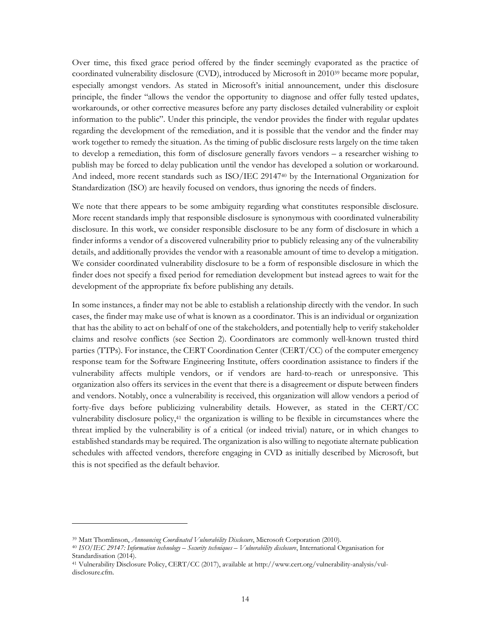Over time, this fixed grace period offered by the finder seemingly evaporated as the practice of coordinated vulnerability disclosure (CVD), introduced by Microsoft in 201039 became more popular, especially amongst vendors. As stated in Microsoft's initial announcement, under this disclosure principle, the finder "allows the vendor the opportunity to diagnose and offer fully tested updates, workarounds, or other corrective measures before any party discloses detailed vulnerability or exploit information to the public". Under this principle, the vendor provides the finder with regular updates regarding the development of the remediation, and it is possible that the vendor and the finder may work together to remedy the situation. As the timing of public disclosure rests largely on the time taken to develop a remediation, this form of disclosure generally favors vendors – a researcher wishing to publish may be forced to delay publication until the vendor has developed a solution or workaround. And indeed, more recent standards such as ISO/IEC 29147<sup>40</sup> by the International Organization for Standardization (ISO) are heavily focused on vendors, thus ignoring the needs of finders.

We note that there appears to be some ambiguity regarding what constitutes responsible disclosure. More recent standards imply that responsible disclosure is synonymous with coordinated vulnerability disclosure. In this work, we consider responsible disclosure to be any form of disclosure in which a finder informs a vendor of a discovered vulnerability prior to publicly releasing any of the vulnerability details, and additionally provides the vendor with a reasonable amount of time to develop a mitigation. We consider coordinated vulnerability disclosure to be a form of responsible disclosure in which the finder does not specify a fixed period for remediation development but instead agrees to wait for the development of the appropriate fix before publishing any details.

In some instances, a finder may not be able to establish a relationship directly with the vendor. In such cases, the finder may make use of what is known as a coordinator. This is an individual or organization that has the ability to act on behalf of one of the stakeholders, and potentially help to verify stakeholder claims and resolve conflicts (see Section 2). Coordinators are commonly well-known trusted third parties (TTPs). For instance, the CERT Coordination Center (CERT/CC) of the computer emergency response team for the Software Engineering Institute, offers coordination assistance to finders if the vulnerability affects multiple vendors, or if vendors are hard-to-reach or unresponsive. This organization also offers its services in the event that there is a disagreement or dispute between finders and vendors. Notably, once a vulnerability is received, this organization will allow vendors a period of forty-five days before publicizing vulnerability details. However, as stated in the CERT/CC vulnerability disclosure policy,41 the organization is willing to be flexible in circumstances where the threat implied by the vulnerability is of a critical (or indeed trivial) nature, or in which changes to established standards may be required. The organization is also willing to negotiate alternate publication schedules with affected vendors, therefore engaging in CVD as initially described by Microsoft, but this is not specified as the default behavior.

<sup>39</sup> Matt Thomlinson, *Announcing Coordinated Vulnerability Disclosure*, Microsoft Corporation (2010).

<sup>40</sup> *ISO/IEC 29147: Information technology – Security techniques – Vulnerability disclosure*, International Organisation for Standardisation (2014).

<sup>41</sup> Vulnerability Disclosure Policy, CERT/CC (2017), available at http://www.cert.org/vulnerability-analysis/vuldisclosure.cfm.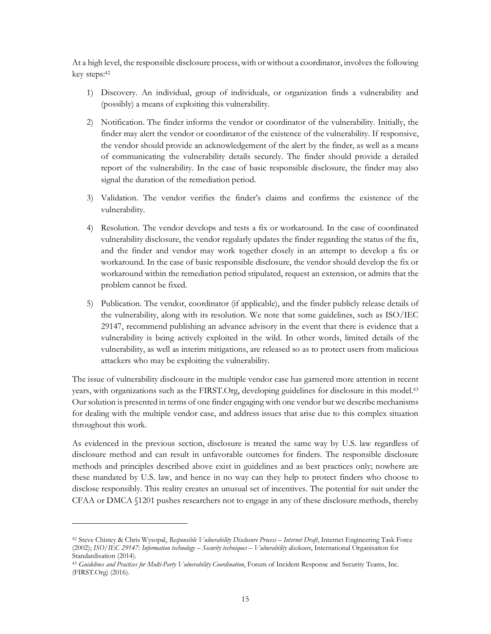At a high level, the responsible disclosure process, with or without a coordinator, involves the following key steps: 42

- 1) Discovery. An individual, group of individuals, or organization finds a vulnerability and (possibly) a means of exploiting this vulnerability.
- 2) Notification. The finder informs the vendor or coordinator of the vulnerability. Initially, the finder may alert the vendor or coordinator of the existence of the vulnerability. If responsive, the vendor should provide an acknowledgement of the alert by the finder, as well as a means of communicating the vulnerability details securely. The finder should provide a detailed report of the vulnerability. In the case of basic responsible disclosure, the finder may also signal the duration of the remediation period.
- 3) Validation. The vendor verifies the finder's claims and confirms the existence of the vulnerability.
- 4) Resolution. The vendor develops and tests a fix or workaround. In the case of coordinated vulnerability disclosure, the vendor regularly updates the finder regarding the status of the fix, and the finder and vendor may work together closely in an attempt to develop a fix or workaround. In the case of basic responsible disclosure, the vendor should develop the fix or workaround within the remediation period stipulated, request an extension, or admits that the problem cannot be fixed.
- 5) Publication. The vendor, coordinator (if applicable), and the finder publicly release details of the vulnerability, along with its resolution. We note that some guidelines, such as ISO/IEC 29147, recommend publishing an advance advisory in the event that there is evidence that a vulnerability is being actively exploited in the wild. In other words, limited details of the vulnerability, as well as interim mitigations, are released so as to protect users from malicious attackers who may be exploiting the vulnerability.

The issue of vulnerability disclosure in the multiple vendor case has garnered more attention in recent years, with organizations such as the FIRST.Org, developing guidelines for disclosure in this model. 43 Our solution is presented in terms of one finder engaging with one vendor but we describe mechanisms for dealing with the multiple vendor case, and address issues that arise due to this complex situation throughout this work.

As evidenced in the previous section, disclosure is treated the same way by U.S. law regardless of disclosure method and can result in unfavorable outcomes for finders. The responsible disclosure methods and principles described above exist in guidelines and as best practices only; nowhere are these mandated by U.S. law, and hence in no way can they help to protect finders who choose to disclose responsibly. This reality creates an unusual set of incentives. The potential for suit under the CFAA or DMCA §1201 pushes researchers not to engage in any of these disclosure methods, thereby

<sup>42</sup> Steve Chistey & Chris Wysopal, *Responsible Vulnerability Disclosure Process – Internet Draft*, Internet Engineering Task Force (2002); *ISO/IEC 29147: Information technology – Security techniques – Vulnerability disclosure*, International Organisation for Standardisation (2014).

<sup>43</sup> *Guidelines and Practices for Multi-Party Vulnerability Coordination*, Forum of Incident Response and Security Teams, Inc. (FIRST.Org) (2016).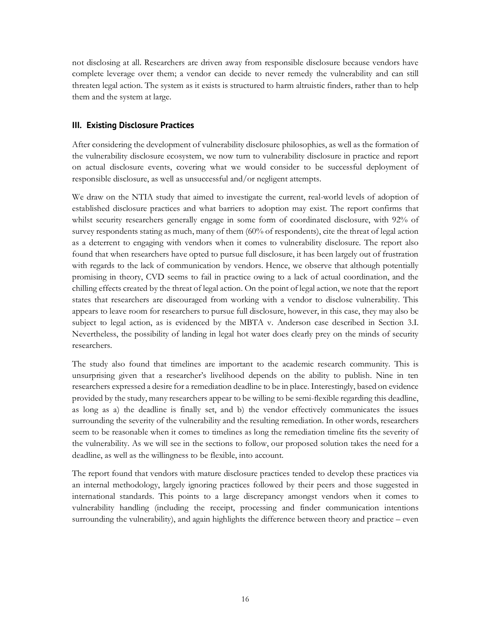not disclosing at all. Researchers are driven away from responsible disclosure because vendors have complete leverage over them; a vendor can decide to never remedy the vulnerability and can still threaten legal action. The system as it exists is structured to harm altruistic finders, rather than to help them and the system at large.

#### **III. Existing Disclosure Practices**

After considering the development of vulnerability disclosure philosophies, as well as the formation of the vulnerability disclosure ecosystem, we now turn to vulnerability disclosure in practice and report on actual disclosure events, covering what we would consider to be successful deployment of responsible disclosure, as well as unsuccessful and/or negligent attempts.

We draw on the NTIA study that aimed to investigate the current, real-world levels of adoption of established disclosure practices and what barriers to adoption may exist. The report confirms that whilst security researchers generally engage in some form of coordinated disclosure, with 92% of survey respondents stating as much, many of them (60% of respondents), cite the threat of legal action as a deterrent to engaging with vendors when it comes to vulnerability disclosure. The report also found that when researchers have opted to pursue full disclosure, it has been largely out of frustration with regards to the lack of communication by vendors. Hence, we observe that although potentially promising in theory, CVD seems to fail in practice owing to a lack of actual coordination, and the chilling effects created by the threat of legal action. On the point of legal action, we note that the report states that researchers are discouraged from working with a vendor to disclose vulnerability. This appears to leave room for researchers to pursue full disclosure, however, in this case, they may also be subject to legal action, as is evidenced by the MBTA v. Anderson case described in Section 3.I. Nevertheless, the possibility of landing in legal hot water does clearly prey on the minds of security researchers.

The study also found that timelines are important to the academic research community. This is unsurprising given that a researcher's livelihood depends on the ability to publish. Nine in ten researchers expressed a desire for a remediation deadline to be in place. Interestingly, based on evidence provided by the study, many researchers appear to be willing to be semi-flexible regarding this deadline, as long as a) the deadline is finally set, and b) the vendor effectively communicates the issues surrounding the severity of the vulnerability and the resulting remediation. In other words, researchers seem to be reasonable when it comes to timelines as long the remediation timeline fits the severity of the vulnerability. As we will see in the sections to follow, our proposed solution takes the need for a deadline, as well as the willingness to be flexible, into account.

The report found that vendors with mature disclosure practices tended to develop these practices via an internal methodology, largely ignoring practices followed by their peers and those suggested in international standards. This points to a large discrepancy amongst vendors when it comes to vulnerability handling (including the receipt, processing and finder communication intentions surrounding the vulnerability), and again highlights the difference between theory and practice – even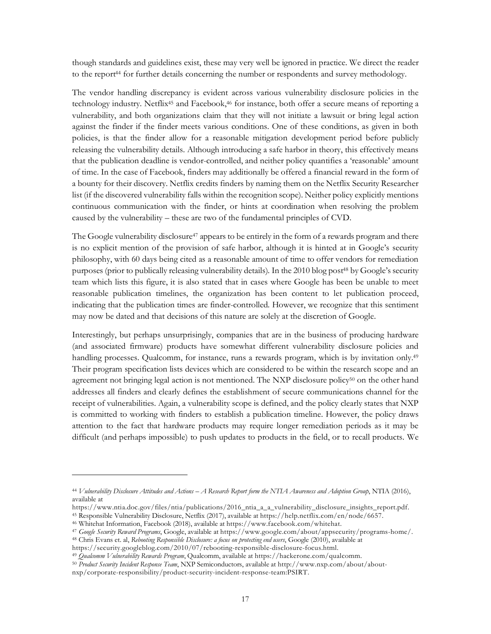though standards and guidelines exist, these may very well be ignored in practice. We direct the reader to the report<sup>44</sup> for further details concerning the number or respondents and survey methodology.

The vendor handling discrepancy is evident across various vulnerability disclosure policies in the technology industry. Netflix45 and Facebook, <sup>46</sup> for instance, both offer a secure means of reporting a vulnerability, and both organizations claim that they will not initiate a lawsuit or bring legal action against the finder if the finder meets various conditions. One of these conditions, as given in both policies, is that the finder allow for a reasonable mitigation development period before publicly releasing the vulnerability details. Although introducing a safe harbor in theory, this effectively means that the publication deadline is vendor-controlled, and neither policy quantifies a 'reasonable' amount of time. In the case of Facebook, finders may additionally be offered a financial reward in the form of a bounty for their discovery. Netflix credits finders by naming them on the Netflix Security Researcher list (if the discovered vulnerability falls within the recognition scope). Neither policy explicitly mentions continuous communication with the finder, or hints at coordination when resolving the problem caused by the vulnerability – these are two of the fundamental principles of CVD.

The Google vulnerability disclosure<sup>47</sup> appears to be entirely in the form of a rewards program and there is no explicit mention of the provision of safe harbor, although it is hinted at in Google's security philosophy, with 60 days being cited as a reasonable amount of time to offer vendors for remediation purposes (prior to publically releasing vulnerability details). In the 2010 blog post<sup>48</sup> by Google's security team which lists this figure, it is also stated that in cases where Google has been be unable to meet reasonable publication timelines, the organization has been content to let publication proceed, indicating that the publication times are finder-controlled. However, we recognize that this sentiment may now be dated and that decisions of this nature are solely at the discretion of Google.

Interestingly, but perhaps unsurprisingly, companies that are in the business of producing hardware (and associated firmware) products have somewhat different vulnerability disclosure policies and handling processes. Qualcomm, for instance, runs a rewards program, which is by invitation only.<sup>49</sup> Their program specification lists devices which are considered to be within the research scope and an agreement not bringing legal action is not mentioned. The NXP disclosure policy<sup>50</sup> on the other hand addresses all finders and clearly defines the establishment of secure communications channel for the receipt of vulnerabilities. Again, a vulnerability scope is defined, and the policy clearly states that NXP is committed to working with finders to establish a publication timeline. However, the policy draws attention to the fact that hardware products may require longer remediation periods as it may be difficult (and perhaps impossible) to push updates to products in the field, or to recall products. We

<sup>44</sup> *Vulnerability Disclosure Attitudes and Actions – A Research Report form the NTIA Awareness and Adoption Group*, NTIA (2016), available at

https://www.ntia.doc.gov/files/ntia/publications/2016\_ntia\_a\_a\_vulnerability\_disclosure\_insights\_report.pdf.

<sup>45</sup> Responsible Vulnerability Disclosure, Netflix (2017), available at https://help.netflix.com/en/node/6657.

<sup>46</sup> Whitehat Information, Facebook (2018), available at https://www.facebook.com/whitehat.

<sup>47</sup> *Google Security Reward Programs*, Google, available at https://www.google.com/about/appsecurity/programs-home/.

<sup>48</sup> Chris Evans et. al, *Rebooting Responsible Disclosure: a focus on protecting end users*, Google (2010), available at

https://security.googleblog.com/2010/07/rebooting-responsible-disclosure-focus.html.

<sup>49</sup> *Qualcomm Vulnerability Rewards Program*, Qualcomm, available at https://hackerone.com/qualcomm.

<sup>50</sup> *Product Security Incident Response Team*, NXP Semiconductors, available at http://www.nxp.com/about/about-

nxp/corporate-responsibility/product-security-incident-response-team:PSIRT.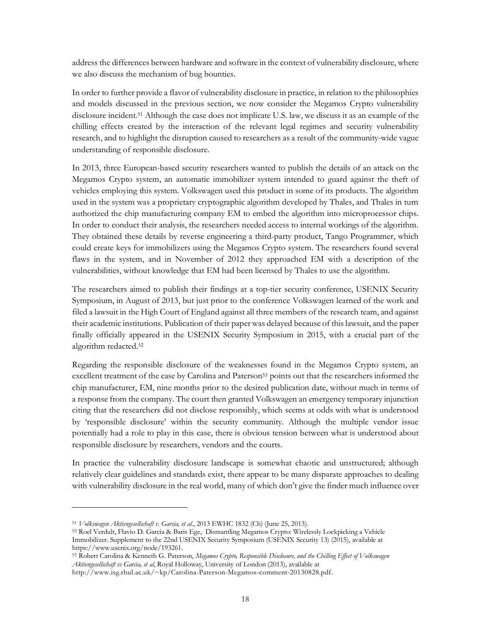address the differences between hardware and software in the context of vulnerability disclosure, where we also discuss the mechanism of bug bounties.

In order to further provide a flavor of vulnerability disclosure in practice, in relation to the philosophies and models discussed in the previous section, we now consider the Megamos Crypto vulnerability disclosure incident. <sup>51</sup> Although the case does not implicate U.S. law, we discuss it as an example of the chilling effects created by the interaction of the relevant legal regimes and security vulnerability research, and to highlight the disruption caused to researchers as a result of the community-wide vague understanding of responsible disclosure.

In 2013, three European-based security researchers wanted to publish the details of an attack on the Megamos Crypto system, an automatic immobilizer system intended to guard against the theft of vehicles employing this system. Volkswagen used this product in some of its products. The algorithm used in the system was a proprietary cryptographic algorithm developed by Thales, and Thales in turn authorized the chip manufacturing company EM to embed the algorithm into microprocessor chips. In order to conduct their analysis, the researchers needed access to internal workings of the algorithm. They obtained these details by reverse engineering a third-party product, Tango Programmer, which could create keys for immobilizers using the Megamos Crypto system. The researchers found several flaws in the system, and in November of 2012 they approached EM with a description of the vulnerabilities, without knowledge that EM had been licensed by Thales to use the algorithm.

The researchers aimed to publish their findings at a top-tier security conference, USENIX Security Symposium, in August of 2013, but just prior to the conference Volkswagen learned of the work and filed a lawsuit in the High Court of England against all three members of the research team, and against their academic institutions. Publication of their paper was delayed because of this lawsuit, and the paper finally officially appeared in the USENIX Security Symposium in 2015, with a crucial part of the algorithm redacted. 52

Regarding the responsible disclosure of the weaknesses found in the Megamos Crypto system, an excellent treatment of the case by Carolina and Paterson<sup>53</sup> points out that the researchers informed the chip manufacturer, EM, nine months prior to the desired publication date, without much in terms of a response from the company. The court then granted Volkswagen an emergency temporary injunction citing that the researchers did not disclose responsibly, which seems at odds with what is understood by 'responsible disclosure' within the security community. Although the multiple vendor issue potentially had a role to play in this case, there is obvious tension between what is understood about responsible disclosure by researchers, vendors and the courts.

In practice the vulnerability disclosure landscape is somewhat chaotic and unstructured; although relatively clear guidelines and standards exist, there appear to be many disparate approaches to dealing with vulnerability disclosure in the real world, many of which don't give the finder much influence over

<sup>51</sup> *Volkswagen Aktiengesellschaft v. Garcia, et al.*, 2013 EWHC 1832 (Ch) (June 25, 2013).

<sup>52</sup> Roel Verdult, Flavio D. Garcia & Baris Ege, Dismantling Megamos Crypto: Wirelessly Lockpicking a Vehicle Immobilizer. Supplement to the 22nd USENIX Security Symposium (USENIX Security 13) (2015), available at https://www.usenix.org/node/193261.

<sup>53</sup> Robert Carolina & Kenneth G. Paterson, *Megamos Crypto, Responsible Disclosure, and the Chilling Effect of Volkswagen Aktiengesellschaft vs Garcia, et al*, Royal Holloway, University of London (2013), available at

http://www.isg.rhul.ac.uk/~kp/Carolina-Paterson-Megamos-comment-20130828.pdf.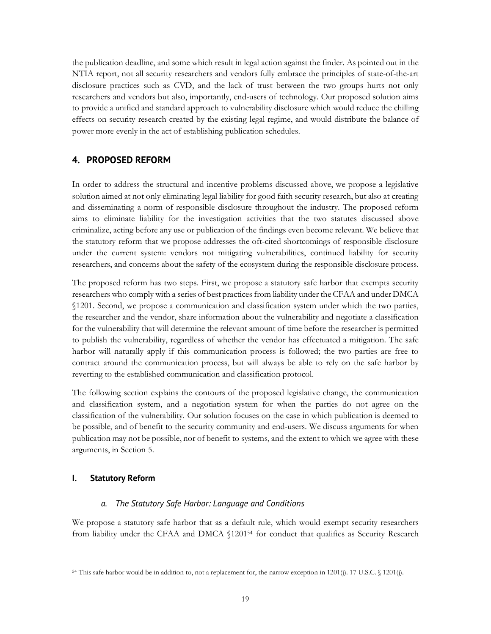the publication deadline, and some which result in legal action against the finder. As pointed out in the NTIA report, not all security researchers and vendors fully embrace the principles of state-of-the-art disclosure practices such as CVD, and the lack of trust between the two groups hurts not only researchers and vendors but also, importantly, end-users of technology. Our proposed solution aims to provide a unified and standard approach to vulnerability disclosure which would reduce the chilling effects on security research created by the existing legal regime, and would distribute the balance of power more evenly in the act of establishing publication schedules.

#### **4. PROPOSED REFORM**

In order to address the structural and incentive problems discussed above, we propose a legislative solution aimed at not only eliminating legal liability for good faith security research, but also at creating and disseminating a norm of responsible disclosure throughout the industry. The proposed reform aims to eliminate liability for the investigation activities that the two statutes discussed above criminalize, acting before any use or publication of the findings even become relevant. We believe that the statutory reform that we propose addresses the oft-cited shortcomings of responsible disclosure under the current system: vendors not mitigating vulnerabilities, continued liability for security researchers, and concerns about the safety of the ecosystem during the responsible disclosure process.

The proposed reform has two steps. First, we propose a statutory safe harbor that exempts security researchers who comply with a series of best practices from liability under the CFAA and under DMCA §1201. Second, we propose a communication and classification system under which the two parties, the researcher and the vendor, share information about the vulnerability and negotiate a classification for the vulnerability that will determine the relevant amount of time before the researcher is permitted to publish the vulnerability, regardless of whether the vendor has effectuated a mitigation. The safe harbor will naturally apply if this communication process is followed; the two parties are free to contract around the communication process, but will always be able to rely on the safe harbor by reverting to the established communication and classification protocol.

The following section explains the contours of the proposed legislative change, the communication and classification system, and a negotiation system for when the parties do not agree on the classification of the vulnerability. Our solution focuses on the case in which publication is deemed to be possible, and of benefit to the security community and end-users. We discuss arguments for when publication may not be possible, nor of benefit to systems, and the extent to which we agree with these arguments, in Section 5.

#### **I. Statutory Reform**

 

#### *a. The Statutory Safe Harbor: Language and Conditions*

We propose a statutory safe harbor that as a default rule, which would exempt security researchers from liability under the CFAA and DMCA §120154 for conduct that qualifies as Security Research

<sup>54</sup> This safe harbor would be in addition to, not a replacement for, the narrow exception in 1201(j). 17 U.S.C. § 1201(j).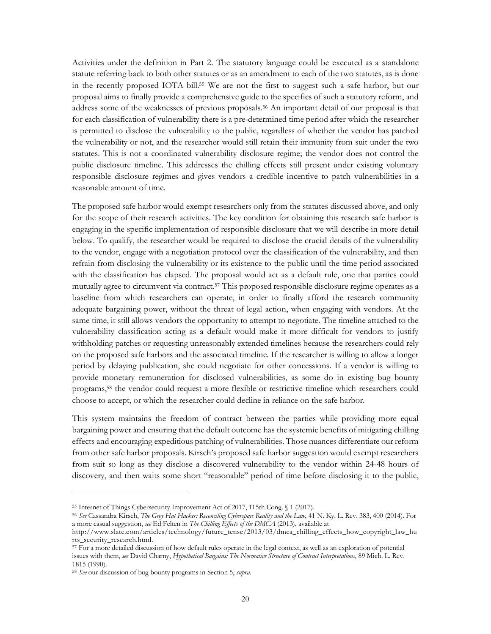Activities under the definition in Part 2. The statutory language could be executed as a standalone statute referring back to both other statutes or as an amendment to each of the two statutes, as is done in the recently proposed IOTA bill.55 We are not the first to suggest such a safe harbor, but our proposal aims to finally provide a comprehensive guide to the specifics of such a statutory reform, and address some of the weaknesses of previous proposals.56 An important detail of our proposal is that for each classification of vulnerability there is a pre-determined time period after which the researcher is permitted to disclose the vulnerability to the public, regardless of whether the vendor has patched the vulnerability or not, and the researcher would still retain their immunity from suit under the two statutes. This is not a coordinated vulnerability disclosure regime; the vendor does not control the public disclosure timeline. This addresses the chilling effects still present under existing voluntary responsible disclosure regimes and gives vendors a credible incentive to patch vulnerabilities in a reasonable amount of time.

The proposed safe harbor would exempt researchers only from the statutes discussed above, and only for the scope of their research activities. The key condition for obtaining this research safe harbor is engaging in the specific implementation of responsible disclosure that we will describe in more detail below. To qualify, the researcher would be required to disclose the crucial details of the vulnerability to the vendor, engage with a negotiation protocol over the classification of the vulnerability, and then refrain from disclosing the vulnerability or its existence to the public until the time period associated with the classification has elapsed. The proposal would act as a default rule, one that parties could mutually agree to circumvent via contract.57 This proposed responsible disclosure regime operates as a baseline from which researchers can operate, in order to finally afford the research community adequate bargaining power, without the threat of legal action, when engaging with vendors. At the same time, it still allows vendors the opportunity to attempt to negotiate. The timeline attached to the vulnerability classification acting as a default would make it more difficult for vendors to justify withholding patches or requesting unreasonably extended timelines because the researchers could rely on the proposed safe harbors and the associated timeline. If the researcher is willing to allow a longer period by delaying publication, she could negotiate for other concessions. If a vendor is willing to provide monetary remuneration for disclosed vulnerabilities, as some do in existing bug bounty programs,58 the vendor could request a more flexible or restrictive timeline which researchers could choose to accept, or which the researcher could decline in reliance on the safe harbor.

This system maintains the freedom of contract between the parties while providing more equal bargaining power and ensuring that the default outcome has the systemic benefits of mitigating chilling effects and encouraging expeditious patching of vulnerabilities. Those nuances differentiate our reform from other safe harbor proposals. Kirsch's proposed safe harbor suggestion would exempt researchers from suit so long as they disclose a discovered vulnerability to the vendor within 24-48 hours of discovery, and then waits some short "reasonable" period of time before disclosing it to the public,

<sup>55</sup> Internet of Things Cybersecurity Improvement Act of 2017, 115th Cong. § 1 (2017).

<sup>56</sup> *See* Cassandra Kirsch, *The Grey Hat Hacker: Reconciling Cyberspace Reality and the Law*, 41 N. Ky. L. Rev. 383, 400 (2014). For a more casual suggestion, *see* Ed Felten in *The Chilling Effects of the DMCA* (2013), available at

http://www.slate.com/articles/technology/future\_tense/2013/03/dmca\_chilling\_effects\_how\_copyright\_law\_hu rts\_security\_research.html.

<sup>57</sup> For a more detailed discussion of how default rules operate in the legal context, as well as an exploration of potential issues with them, *see* David Charny, *Hypothetical Bargains: The Normative Structure of Contract Interpretations*, 89 Mich. L. Rev. 1815 (1990).

<sup>58</sup> *See* our discussion of bug bounty programs in Section 5, *supra*.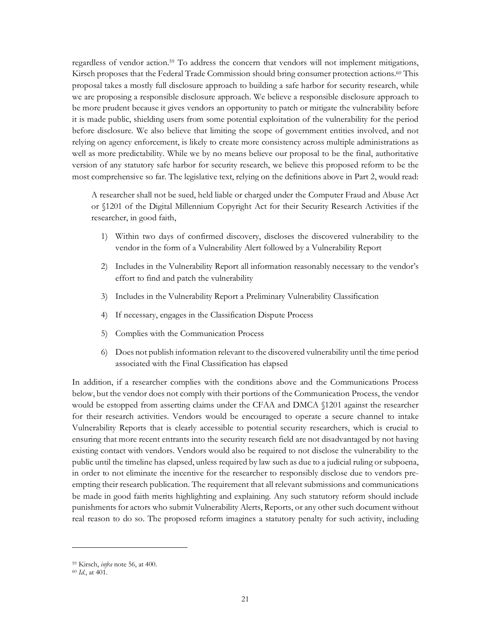regardless of vendor action. <sup>59</sup> To address the concern that vendors will not implement mitigations, Kirsch proposes that the Federal Trade Commission should bring consumer protection actions.<sup>60</sup> This proposal takes a mostly full disclosure approach to building a safe harbor for security research, while we are proposing a responsible disclosure approach. We believe a responsible disclosure approach to be more prudent because it gives vendors an opportunity to patch or mitigate the vulnerability before it is made public, shielding users from some potential exploitation of the vulnerability for the period before disclosure. We also believe that limiting the scope of government entities involved, and not relying on agency enforcement, is likely to create more consistency across multiple administrations as well as more predictability. While we by no means believe our proposal to be the final, authoritative version of any statutory safe harbor for security research, we believe this proposed reform to be the most comprehensive so far. The legislative text, relying on the definitions above in Part 2, would read:

A researcher shall not be sued, held liable or charged under the Computer Fraud and Abuse Act or §1201 of the Digital Millennium Copyright Act for their Security Research Activities if the researcher, in good faith,

- 1) Within two days of confirmed discovery, discloses the discovered vulnerability to the vendor in the form of a Vulnerability Alert followed by a Vulnerability Report
- 2) Includes in the Vulnerability Report all information reasonably necessary to the vendor's effort to find and patch the vulnerability
- 3) Includes in the Vulnerability Report a Preliminary Vulnerability Classification
- 4) If necessary, engages in the Classification Dispute Process
- 5) Complies with the Communication Process
- 6) Does not publish information relevant to the discovered vulnerability until the time period associated with the Final Classification has elapsed

In addition, if a researcher complies with the conditions above and the Communications Process below, but the vendor does not comply with their portions of the Communication Process, the vendor would be estopped from asserting claims under the CFAA and DMCA §1201 against the researcher for their research activities. Vendors would be encouraged to operate a secure channel to intake Vulnerability Reports that is clearly accessible to potential security researchers, which is crucial to ensuring that more recent entrants into the security research field are not disadvantaged by not having existing contact with vendors. Vendors would also be required to not disclose the vulnerability to the public until the timeline has elapsed, unless required by law such as due to a judicial ruling or subpoena, in order to not eliminate the incentive for the researcher to responsibly disclose due to vendors preempting their research publication. The requirement that all relevant submissions and communications be made in good faith merits highlighting and explaining. Any such statutory reform should include punishments for actors who submit Vulnerability Alerts, Reports, or any other such document without real reason to do so. The proposed reform imagines a statutory penalty for such activity, including

<sup>59</sup> Kirsch, *infra* note 56, at 400.

<sup>60</sup> *Id.*, at 401.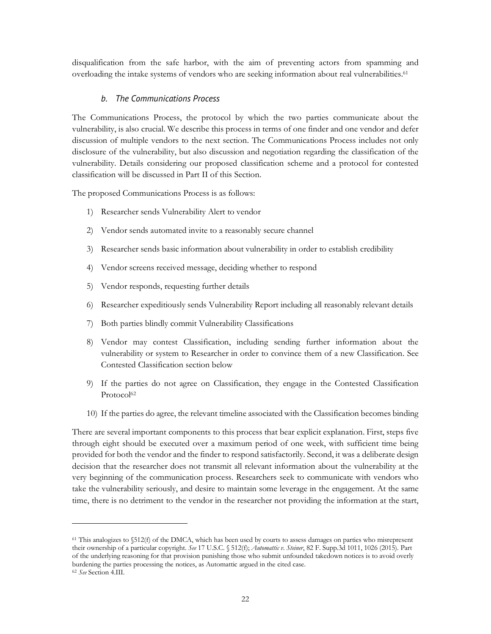disqualification from the safe harbor, with the aim of preventing actors from spamming and overloading the intake systems of vendors who are seeking information about real vulnerabilities.61

#### *b. The Communications Process*

The Communications Process, the protocol by which the two parties communicate about the vulnerability, is also crucial. We describe this process in terms of one finder and one vendor and defer discussion of multiple vendors to the next section. The Communications Process includes not only disclosure of the vulnerability, but also discussion and negotiation regarding the classification of the vulnerability. Details considering our proposed classification scheme and a protocol for contested classification will be discussed in Part II of this Section.

The proposed Communications Process is as follows:

- 1) Researcher sends Vulnerability Alert to vendor
- 2) Vendor sends automated invite to a reasonably secure channel
- 3) Researcher sends basic information about vulnerability in order to establish credibility
- 4) Vendor screens received message, deciding whether to respond
- 5) Vendor responds, requesting further details
- 6) Researcher expeditiously sends Vulnerability Report including all reasonably relevant details
- 7) Both parties blindly commit Vulnerability Classifications
- 8) Vendor may contest Classification, including sending further information about the vulnerability or system to Researcher in order to convince them of a new Classification. See Contested Classification section below
- 9) If the parties do not agree on Classification, they engage in the Contested Classification Protocol<sup>62</sup>
- 10) If the parties do agree, the relevant timeline associated with the Classification becomes binding

There are several important components to this process that bear explicit explanation. First, steps five through eight should be executed over a maximum period of one week, with sufficient time being provided for both the vendor and the finder to respond satisfactorily. Second, it was a deliberate design decision that the researcher does not transmit all relevant information about the vulnerability at the very beginning of the communication process. Researchers seek to communicate with vendors who take the vulnerability seriously, and desire to maintain some leverage in the engagement. At the same time, there is no detriment to the vendor in the researcher not providing the information at the start,

<sup>61</sup> This analogizes to §512(f) of the DMCA, which has been used by courts to assess damages on parties who misrepresent their ownership of a particular copyright. *See* 17 U.S.C. § 512(f); *Automattic v. Steiner*, 82 F. Supp.3d 1011, 1026 (2015). Part of the underlying reasoning for that provision punishing those who submit unfounded takedown notices is to avoid overly burdening the parties processing the notices, as Automattic argued in the cited case.

<sup>62</sup> *See* Section 4.III.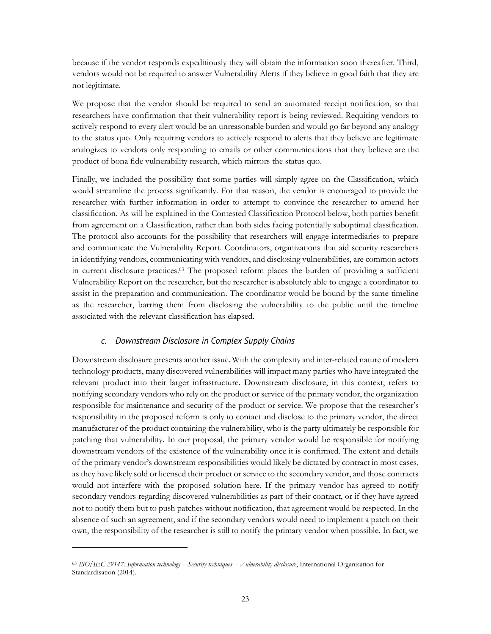because if the vendor responds expeditiously they will obtain the information soon thereafter. Third, vendors would not be required to answer Vulnerability Alerts if they believe in good faith that they are not legitimate.

We propose that the vendor should be required to send an automated receipt notification, so that researchers have confirmation that their vulnerability report is being reviewed. Requiring vendors to actively respond to every alert would be an unreasonable burden and would go far beyond any analogy to the status quo. Only requiring vendors to actively respond to alerts that they believe are legitimate analogizes to vendors only responding to emails or other communications that they believe are the product of bona fide vulnerability research, which mirrors the status quo.

Finally, we included the possibility that some parties will simply agree on the Classification, which would streamline the process significantly. For that reason, the vendor is encouraged to provide the researcher with further information in order to attempt to convince the researcher to amend her classification. As will be explained in the Contested Classification Protocol below, both parties benefit from agreement on a Classification, rather than both sides facing potentially suboptimal classification. The protocol also accounts for the possibility that researchers will engage intermediaries to prepare and communicate the Vulnerability Report. Coordinators, organizations that aid security researchers in identifying vendors, communicating with vendors, and disclosing vulnerabilities, are common actors in current disclosure practices.63 The proposed reform places the burden of providing a sufficient Vulnerability Report on the researcher, but the researcher is absolutely able to engage a coordinator to assist in the preparation and communication. The coordinator would be bound by the same timeline as the researcher, barring them from disclosing the vulnerability to the public until the timeline associated with the relevant classification has elapsed.

#### *c. Downstream Disclosure in Complex Supply Chains*

Downstream disclosure presents another issue. With the complexity and inter-related nature of modern technology products, many discovered vulnerabilities will impact many parties who have integrated the relevant product into their larger infrastructure. Downstream disclosure, in this context, refers to notifying secondary vendors who rely on the product or service of the primary vendor, the organization responsible for maintenance and security of the product or service. We propose that the researcher's responsibility in the proposed reform is only to contact and disclose to the primary vendor, the direct manufacturer of the product containing the vulnerability, who is the party ultimately be responsible for patching that vulnerability. In our proposal, the primary vendor would be responsible for notifying downstream vendors of the existence of the vulnerability once it is confirmed. The extent and details of the primary vendor's downstream responsibilities would likely be dictated by contract in most cases, as they have likely sold or licensed their product or service to the secondary vendor, and those contracts would not interfere with the proposed solution here. If the primary vendor has agreed to notify secondary vendors regarding discovered vulnerabilities as part of their contract, or if they have agreed not to notify them but to push patches without notification, that agreement would be respected. In the absence of such an agreement, and if the secondary vendors would need to implement a patch on their own, the responsibility of the researcher is still to notify the primary vendor when possible. In fact, we

<sup>63</sup> *ISO/IEC 29147: Information technology – Security techniques – Vulnerability disclosure*, International Organisation for Standardisation (2014).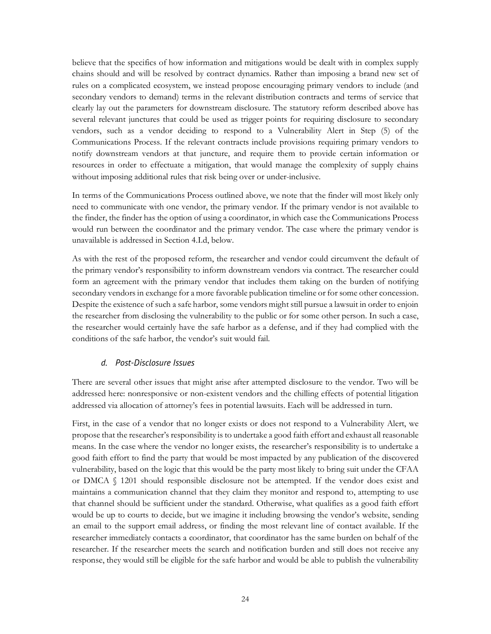believe that the specifics of how information and mitigations would be dealt with in complex supply chains should and will be resolved by contract dynamics. Rather than imposing a brand new set of rules on a complicated ecosystem, we instead propose encouraging primary vendors to include (and secondary vendors to demand) terms in the relevant distribution contracts and terms of service that clearly lay out the parameters for downstream disclosure. The statutory reform described above has several relevant junctures that could be used as trigger points for requiring disclosure to secondary vendors, such as a vendor deciding to respond to a Vulnerability Alert in Step (5) of the Communications Process. If the relevant contracts include provisions requiring primary vendors to notify downstream vendors at that juncture, and require them to provide certain information or resources in order to effectuate a mitigation, that would manage the complexity of supply chains without imposing additional rules that risk being over or under-inclusive.

In terms of the Communications Process outlined above, we note that the finder will most likely only need to communicate with one vendor, the primary vendor. If the primary vendor is not available to the finder, the finder has the option of using a coordinator, in which case the Communications Process would run between the coordinator and the primary vendor. The case where the primary vendor is unavailable is addressed in Section 4.I.d, below.

As with the rest of the proposed reform, the researcher and vendor could circumvent the default of the primary vendor's responsibility to inform downstream vendors via contract. The researcher could form an agreement with the primary vendor that includes them taking on the burden of notifying secondary vendors in exchange for a more favorable publication timeline or for some other concession. Despite the existence of such a safe harbor, some vendors might still pursue a lawsuit in order to enjoin the researcher from disclosing the vulnerability to the public or for some other person. In such a case, the researcher would certainly have the safe harbor as a defense, and if they had complied with the conditions of the safe harbor, the vendor's suit would fail.

#### *d. Post-Disclosure Issues*

There are several other issues that might arise after attempted disclosure to the vendor. Two will be addressed here: nonresponsive or non-existent vendors and the chilling effects of potential litigation addressed via allocation of attorney's fees in potential lawsuits. Each will be addressed in turn.

First, in the case of a vendor that no longer exists or does not respond to a Vulnerability Alert, we propose that the researcher's responsibility is to undertake a good faith effort and exhaust all reasonable means. In the case where the vendor no longer exists, the researcher's responsibility is to undertake a good faith effort to find the party that would be most impacted by any publication of the discovered vulnerability, based on the logic that this would be the party most likely to bring suit under the CFAA or DMCA § 1201 should responsible disclosure not be attempted. If the vendor does exist and maintains a communication channel that they claim they monitor and respond to, attempting to use that channel should be sufficient under the standard. Otherwise, what qualifies as a good faith effort would be up to courts to decide, but we imagine it including browsing the vendor's website, sending an email to the support email address, or finding the most relevant line of contact available. If the researcher immediately contacts a coordinator, that coordinator has the same burden on behalf of the researcher. If the researcher meets the search and notification burden and still does not receive any response, they would still be eligible for the safe harbor and would be able to publish the vulnerability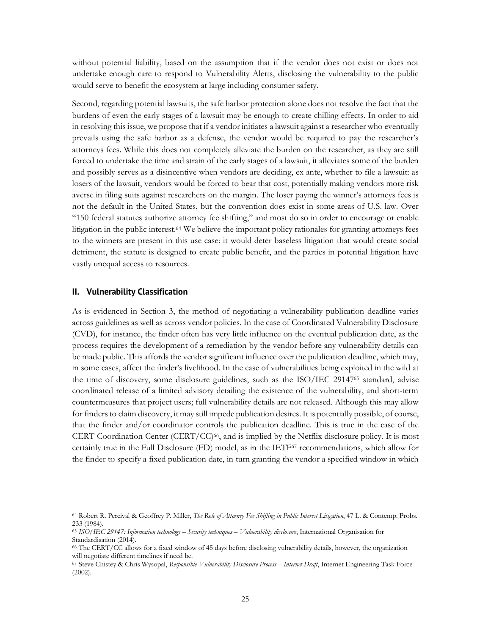without potential liability, based on the assumption that if the vendor does not exist or does not undertake enough care to respond to Vulnerability Alerts, disclosing the vulnerability to the public would serve to benefit the ecosystem at large including consumer safety.

Second, regarding potential lawsuits, the safe harbor protection alone does not resolve the fact that the burdens of even the early stages of a lawsuit may be enough to create chilling effects. In order to aid in resolving this issue, we propose that if a vendor initiates a lawsuit against a researcher who eventually prevails using the safe harbor as a defense, the vendor would be required to pay the researcher's attorneys fees. While this does not completely alleviate the burden on the researcher, as they are still forced to undertake the time and strain of the early stages of a lawsuit, it alleviates some of the burden and possibly serves as a disincentive when vendors are deciding, ex ante, whether to file a lawsuit: as losers of the lawsuit, vendors would be forced to bear that cost, potentially making vendors more risk averse in filing suits against researchers on the margin. The loser paying the winner's attorneys fees is not the default in the United States, but the convention does exist in some areas of U.S. law. Over "150 federal statutes authorize attorney fee shifting," and most do so in order to encourage or enable litigation in the public interest.64 We believe the important policy rationales for granting attorneys fees to the winners are present in this use case: it would deter baseless litigation that would create social detriment, the statute is designed to create public benefit, and the parties in potential litigation have vastly unequal access to resources.

#### **II. Vulnerability Classification**

 

As is evidenced in Section 3, the method of negotiating a vulnerability publication deadline varies across guidelines as well as across vendor policies. In the case of Coordinated Vulnerability Disclosure (CVD), for instance, the finder often has very little influence on the eventual publication date, as the process requires the development of a remediation by the vendor before any vulnerability details can be made public. This affords the vendor significant influence over the publication deadline, which may, in some cases, affect the finder's livelihood. In the case of vulnerabilities being exploited in the wild at the time of discovery, some disclosure guidelines, such as the ISO/IEC 2914765 standard, advise coordinated release of a limited advisory detailing the existence of the vulnerability, and short-term countermeasures that project users; full vulnerability details are not released. Although this may allow for finders to claim discovery, it may still impede publication desires. It is potentially possible, of course, that the finder and/or coordinator controls the publication deadline. This is true in the case of the CERT Coordination Center (CERT/CC) $66$ , and is implied by the Netflix disclosure policy. It is most certainly true in the Full Disclosure (FD) model, as in the IETF67 recommendations, which allow for the finder to specify a fixed publication date, in turn granting the vendor a specified window in which

<sup>64</sup> Robert R. Percival & Geoffrey P. Miller, *The Role of Attorney Fee Shifting in Public Interest Litigation*, 47 L. & Contemp. Probs. 233 (1984).

<sup>65</sup> *ISO/IEC 29147: Information technology – Security techniques – Vulnerability disclosure*, International Organisation for Standardisation (2014).

<sup>66</sup> The CERT/CC allows for a fixed window of 45 days before disclosing vulnerability details, however, the organization will negotiate different timelines if need be.

<sup>67</sup> Steve Chistey & Chris Wysopal, *Responsible Vulnerability Disclosure Process – Internet Draft*, Internet Engineering Task Force (2002).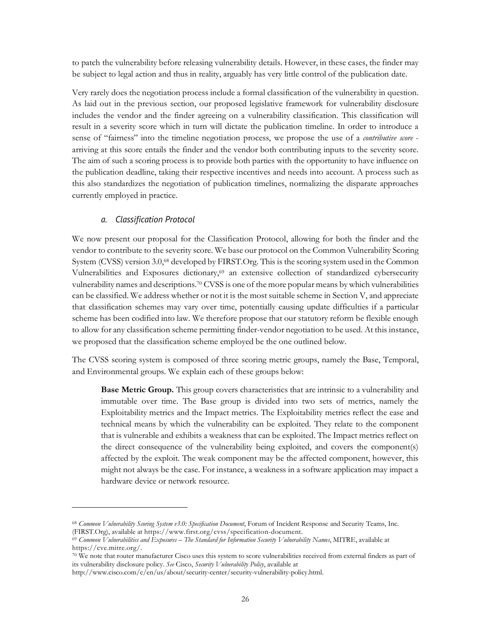to patch the vulnerability before releasing vulnerability details. However, in these cases, the finder may be subject to legal action and thus in reality, arguably has very little control of the publication date.

Very rarely does the negotiation process include a formal classification of the vulnerability in question. As laid out in the previous section, our proposed legislative framework for vulnerability disclosure includes the vendor and the finder agreeing on a vulnerability classification. This classification will result in a severity score which in turn will dictate the publication timeline. In order to introduce a sense of "fairness" into the timeline negotiation process, we propose the use of a *contributive score* arriving at this score entails the finder and the vendor both contributing inputs to the severity score. The aim of such a scoring process is to provide both parties with the opportunity to have influence on the publication deadline, taking their respective incentives and needs into account. A process such as this also standardizes the negotiation of publication timelines, normalizing the disparate approaches currently employed in practice.

#### *a. Classification Protocol*

 

We now present our proposal for the Classification Protocol, allowing for both the finder and the vendor to contribute to the severity score. We base our protocol on the Common Vulnerability Scoring System (CVSS) version 3.0, <sup>68</sup> developed by FIRST.Org. This is the scoring system used in the Common Vulnerabilities and Exposures dictionary,<sup>69</sup> an extensive collection of standardized cybersecurity vulnerability names and descriptions. <sup>70</sup> CVSS is one of the more popular means by which vulnerabilities can be classified. We address whether or not it is the most suitable scheme in Section V, and appreciate that classification schemes may vary over time, potentially causing update difficulties if a particular scheme has been codified into law. We therefore propose that our statutory reform be flexible enough to allow for any classification scheme permitting finder-vendor negotiation to be used. At this instance, we proposed that the classification scheme employed be the one outlined below.

The CVSS scoring system is composed of three scoring metric groups, namely the Base, Temporal, and Environmental groups. We explain each of these groups below:

**Base Metric Group.** This group covers characteristics that are intrinsic to a vulnerability and immutable over time. The Base group is divided into two sets of metrics, namely the Exploitability metrics and the Impact metrics. The Exploitability metrics reflect the ease and technical means by which the vulnerability can be exploited. They relate to the component that is vulnerable and exhibits a weakness that can be exploited. The Impact metrics reflect on the direct consequence of the vulnerability being exploited, and covers the component(s) affected by the exploit. The weak component may be the affected component, however, this might not always be the case. For instance, a weakness in a software application may impact a hardware device or network resource.

<sup>68</sup> *Common Vulnerability Scoring System v3.0: Specification Document*, Forum of Incident Response and Security Teams, Inc. (FIRST.Org), available at https://www.first.org/cvss/specification-document.

<sup>69</sup> *Common Vulnerabilities and Exposures – The Standard for Information Security Vulnerability Names*, MITRE, available at https://cve.mitre.org/.

<sup>70</sup> We note that router manufacturer Cisco uses this system to score vulnerabilities received from external finders as part of its vulnerability disclosure policy. *See* Cisco, *Security Vulnerability Policy*, available at

http://www.cisco.com/c/en/us/about/security-center/security-vulnerability-policy.html.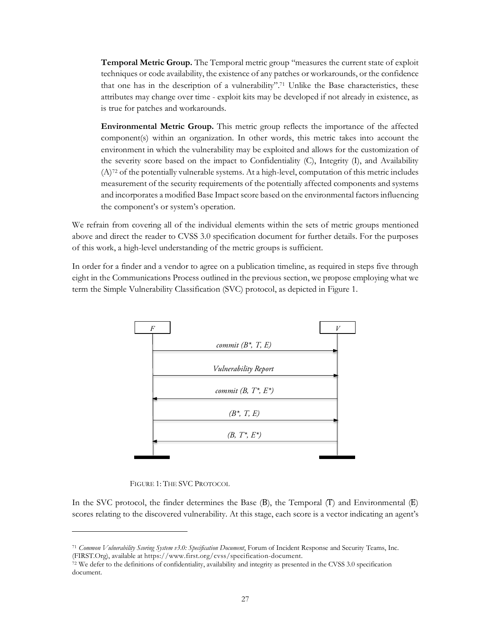**Temporal Metric Group.** The Temporal metric group "measures the current state of exploit techniques or code availability, the existence of any patches or workarounds, or the confidence that one has in the description of a vulnerability". <sup>71</sup> Unlike the Base characteristics, these attributes may change over time - exploit kits may be developed if not already in existence, as is true for patches and workarounds.

**Environmental Metric Group.** This metric group reflects the importance of the affected component(s) within an organization. In other words, this metric takes into account the environment in which the vulnerability may be exploited and allows for the customization of the severity score based on the impact to Confidentiality (C), Integrity (I), and Availability (A)72 of the potentially vulnerable systems. At a high-level, computation of this metric includes measurement of the security requirements of the potentially affected components and systems and incorporates a modified Base Impact score based on the environmental factors influencing the component's or system's operation.

We refrain from covering all of the individual elements within the sets of metric groups mentioned above and direct the reader to CVSS 3.0 specification document for further details. For the purposes of this work, a high-level understanding of the metric groups is sufficient.

In order for a finder and a vendor to agree on a publication timeline, as required in steps five through eight in the Communications Process outlined in the previous section, we propose employing what we term the Simple Vulnerability Classification (SVC) protocol, as depicted in Figure 1.



FIGURE 1: THE SVC PROTOCOL

 

In the SVC protocol, the finder determines the Base  $(B)$ , the Temporal  $(T)$  and Environmental  $(E)$ scores relating to the discovered vulnerability. At this stage, each score is a vector indicating an agent's

<sup>71</sup> *Common Vulnerability Scoring System v3.0: Specification Document*, Forum of Incident Response and Security Teams, Inc. (FIRST.Org), available at https://www.first.org/cvss/specification-document.

<sup>72</sup> We defer to the definitions of confidentiality, availability and integrity as presented in the CVSS 3.0 specification document.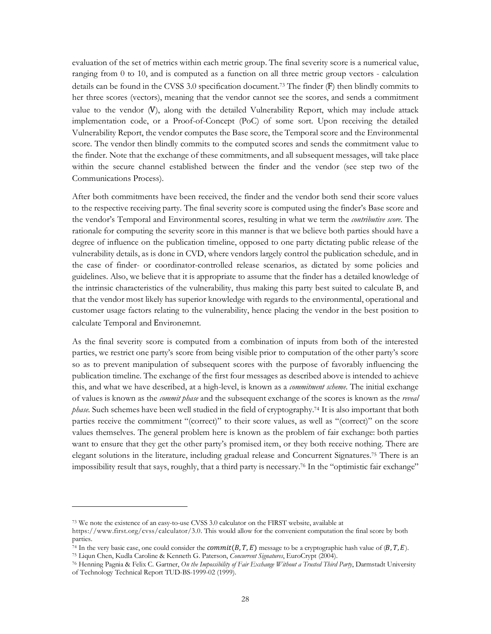evaluation of the set of metrics within each metric group. The final severity score is a numerical value, ranging from 0 to 10, and is computed as a function on all three metric group vectors - calculation details can be found in the CVSS 3.0 specification document. <sup>73</sup> The finder (F) then blindly commits to her three scores (vectors), meaning that the vendor cannot see the scores, and sends a commitment value to the vendor (V), along with the detailed Vulnerability Report, which may include attack implementation code, or a Proof-of-Concept (PoC) of some sort. Upon receiving the detailed Vulnerability Report, the vendor computes the Base score, the Temporal score and the Environmental score. The vendor then blindly commits to the computed scores and sends the commitment value to the finder. Note that the exchange of these commitments, and all subsequent messages, will take place within the secure channel established between the finder and the vendor (see step two of the Communications Process).

After both commitments have been received, the finder and the vendor both send their score values to the respective receiving party. The final severity score is computed using the finder's Base score and the vendor's Temporal and Environmental scores, resulting in what we term the *contributive score*. The rationale for computing the severity score in this manner is that we believe both parties should have a degree of influence on the publication timeline, opposed to one party dictating public release of the vulnerability details, as is done in CVD, where vendors largely control the publication schedule, and in the case of finder- or coordinator-controlled release scenarios, as dictated by some policies and guidelines. Also, we believe that it is appropriate to assume that the finder has a detailed knowledge of the intrinsic characteristics of the vulnerability, thus making this party best suited to calculate B, and that the vendor most likely has superior knowledge with regards to the environmental, operational and customer usage factors relating to the vulnerability, hence placing the vendor in the best position to calculate Temporal and Environemnt.

As the final severity score is computed from a combination of inputs from both of the interested parties, we restrict one party's score from being visible prior to computation of the other party's score so as to prevent manipulation of subsequent scores with the purpose of favorably influencing the publication timeline. The exchange of the first four messages as described above is intended to achieve this, and what we have described, at a high-level, is known as a *commitment scheme*. The initial exchange of values is known as the *commit phase* and the subsequent exchange of the scores is known as the *reveal phase*. Such schemes have been well studied in the field of cryptography.74 It is also important that both parties receive the commitment "(correct)" to their score values, as well as "(correct)" on the score values themselves. The general problem here is known as the problem of fair exchange: both parties want to ensure that they get the other party's promised item, or they both receive nothing. There are elegant solutions in the literature, including gradual release and Concurrent Signatures. <sup>75</sup> There is an impossibility result that says, roughly, that a third party is necessary. <sup>76</sup> In the "optimistic fair exchange"

<sup>73</sup> We note the existence of an easy-to-use CVSS 3.0 calculator on the FIRST website, available at

https://www.first.org/cvss/calculator/3.0. This would allow for the convenient computation the final score by both parties.

<sup>&</sup>lt;sup>74</sup> In the very basic case, one could consider the *commit*( $B, T, E$ ) message to be a cryptographic hash value of  $(B, T, E)$ .

<sup>75</sup> Liqun Chen, Kudla Caroline & Kenneth G. Paterson, *Concurrent Signatures*, EuroCrypt (2004).

<sup>76</sup> Henning Pagnia & Felix C. Gartner, *On the Impossibility of Fair Exchange Without a Trusted Third Party*, Darmstadt University of Technology Technical Report TUD-BS-1999-02 (1999).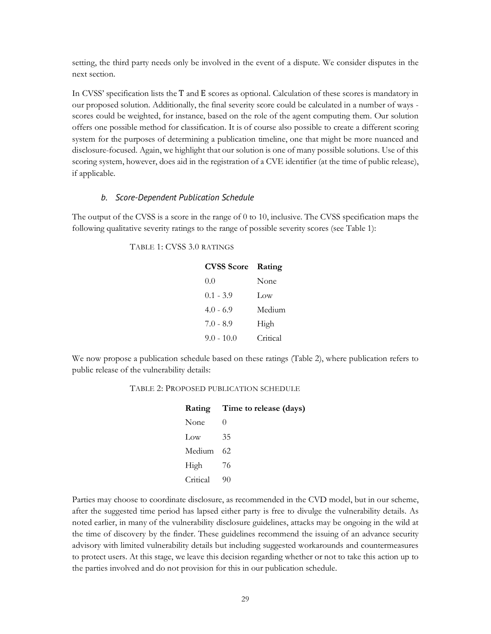setting, the third party needs only be involved in the event of a dispute. We consider disputes in the next section.

In CVSS' specification lists the T and E scores as optional. Calculation of these scores is mandatory in our proposed solution. Additionally, the final severity score could be calculated in a number of ways scores could be weighted, for instance, based on the role of the agent computing them. Our solution offers one possible method for classification. It is of course also possible to create a different scoring system for the purposes of determining a publication timeline, one that might be more nuanced and disclosure-focused. Again, we highlight that our solution is one of many possible solutions. Use of this scoring system, however, does aid in the registration of a CVE identifier (at the time of public release), if applicable.

#### *b. Score-Dependent Publication Schedule*

The output of the CVSS is a score in the range of 0 to 10, inclusive. The CVSS specification maps the following qualitative severity ratings to the range of possible severity scores (see Table 1):

#### TABLE 1: CVSS 3.0 RATINGS

| <b>CVSS Score</b> | Rating   |
|-------------------|----------|
| 0.0               | None     |
| $0.1 - 3.9$       | Low      |
| $4.0 - 6.9$       | Medium   |
| $7.0 - 8.9$       | High     |
| $9.0 - 10.0$      | Critical |

We now propose a publication schedule based on these ratings (Table 2), where publication refers to public release of the vulnerability details:

#### TABLE 2: PROPOSED PUBLICATION SCHEDULE

|          | Rating Time to release (days) |  |
|----------|-------------------------------|--|
| None     | $\left( \right)$              |  |
| Low      | 35                            |  |
| Medium   | 62                            |  |
| High     | 76                            |  |
| Critical | 90                            |  |

Parties may choose to coordinate disclosure, as recommended in the CVD model, but in our scheme, after the suggested time period has lapsed either party is free to divulge the vulnerability details. As noted earlier, in many of the vulnerability disclosure guidelines, attacks may be ongoing in the wild at the time of discovery by the finder. These guidelines recommend the issuing of an advance security advisory with limited vulnerability details but including suggested workarounds and countermeasures to protect users. At this stage, we leave this decision regarding whether or not to take this action up to the parties involved and do not provision for this in our publication schedule.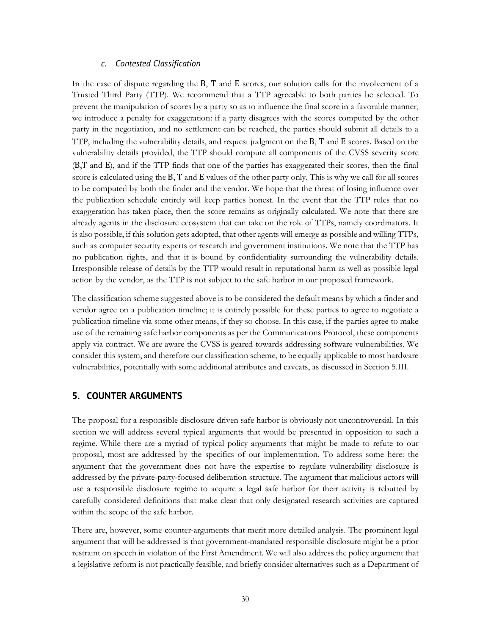#### *c. Contested Classification*

In the case of dispute regarding the B, T and E scores, our solution calls for the involvement of a Trusted Third Party (TTP). We recommend that a TTP agreeable to both parties be selected. To prevent the manipulation of scores by a party so as to influence the final score in a favorable manner, we introduce a penalty for exaggeration: if a party disagrees with the scores computed by the other party in the negotiation, and no settlement can be reached, the parties should submit all details to a TTP, including the vulnerability details, and request judgment on the B, T and E scores. Based on the vulnerability details provided, the TTP should compute all components of the CVSS severity score (B,T and E), and if the TTP finds that one of the parties has exaggerated their scores, then the final score is calculated using the B, T and E values of the other party only. This is why we call for all scores to be computed by both the finder and the vendor. We hope that the threat of losing influence over the publication schedule entirely will keep parties honest. In the event that the TTP rules that no exaggeration has taken place, then the score remains as originally calculated. We note that there are already agents in the disclosure ecosystem that can take on the role of TTPs, namely coordinators. It is also possible, if this solution gets adopted, that other agents will emerge as possible and willing TTPs, such as computer security experts or research and government institutions. We note that the TTP has no publication rights, and that it is bound by confidentiality surrounding the vulnerability details. Irresponsible release of details by the TTP would result in reputational harm as well as possible legal action by the vendor, as the TTP is not subject to the safe harbor in our proposed framework.

The classification scheme suggested above is to be considered the default means by which a finder and vendor agree on a publication timeline; it is entirely possible for these parties to agree to negotiate a publication timeline via some other means, if they so choose. In this case, if the parties agree to make use of the remaining safe harbor components as per the Communications Protocol, these components apply via contract. We are aware the CVSS is geared towards addressing software vulnerabilities. We consider this system, and therefore our classification scheme, to be equally applicable to most hardware vulnerabilities, potentially with some additional attributes and caveats, as discussed in Section 5.III.

#### **5. COUNTER ARGUMENTS**

The proposal for a responsible disclosure driven safe harbor is obviously not uncontroversial. In this section we will address several typical arguments that would be presented in opposition to such a regime. While there are a myriad of typical policy arguments that might be made to refute to our proposal, most are addressed by the specifics of our implementation. To address some here: the argument that the government does not have the expertise to regulate vulnerability disclosure is addressed by the private-party-focused deliberation structure. The argument that malicious actors will use a responsible disclosure regime to acquire a legal safe harbor for their activity is rebutted by carefully considered definitions that make clear that only designated research activities are captured within the scope of the safe harbor.

There are, however, some counter-arguments that merit more detailed analysis. The prominent legal argument that will be addressed is that government-mandated responsible disclosure might be a prior restraint on speech in violation of the First Amendment. We will also address the policy argument that a legislative reform is not practically feasible, and briefly consider alternatives such as a Department of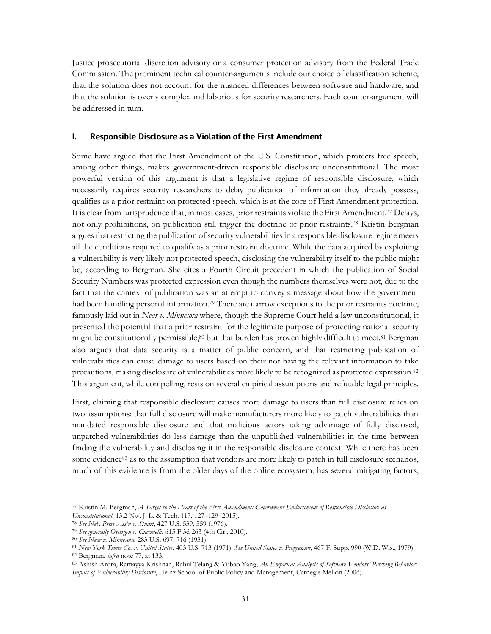Justice prosecutorial discretion advisory or a consumer protection advisory from the Federal Trade Commission. The prominent technical counter-arguments include our choice of classification scheme, that the solution does not account for the nuanced differences between software and hardware, and that the solution is overly complex and laborious for security researchers. Each counter-argument will be addressed in turn.

#### **I. Responsible Disclosure as a Violation of the First Amendment**

Some have argued that the First Amendment of the U.S. Constitution, which protects free speech, among other things, makes government-driven responsible disclosure unconstitutional. The most powerful version of this argument is that a legislative regime of responsible disclosure, which necessarily requires security researchers to delay publication of information they already possess, qualifies as a prior restraint on protected speech, which is at the core of First Amendment protection. It is clear from jurisprudence that, in most cases, prior restraints violate the First Amendment.77 Delays, not only prohibitions, on publication still trigger the doctrine of prior restraints.78 Kristin Bergman argues that restricting the publication of security vulnerabilities in a responsible disclosure regime meets all the conditions required to qualify as a prior restraint doctrine. While the data acquired by exploiting a vulnerability is very likely not protected speech, disclosing the vulnerability itself to the public might be, according to Bergman. She cites a Fourth Circuit precedent in which the publication of Social Security Numbers was protected expression even though the numbers themselves were not, due to the fact that the context of publication was an attempt to convey a message about how the government had been handling personal information.<sup>79</sup> There are narrow exceptions to the prior restraints doctrine, famously laid out in *Near v. Minnesota* where, though the Supreme Court held a law unconstitutional, it presented the potential that a prior restraint for the legitimate purpose of protecting national security might be constitutionally permissible,<sup>80</sup> but that burden has proven highly difficult to meet.<sup>81</sup> Bergman also argues that data security is a matter of public concern, and that restricting publication of vulnerabilities can cause damage to users based on their not having the relevant information to take precautions, making disclosure of vulnerabilities more likely to be recognized as protected expression.82 This argument, while compelling, rests on several empirical assumptions and refutable legal principles.

First, claiming that responsible disclosure causes more damage to users than full disclosure relies on two assumptions: that full disclosure will make manufacturers more likely to patch vulnerabilities than mandated responsible disclosure and that malicious actors taking advantage of fully disclosed, unpatched vulnerabilities do less damage than the unpublished vulnerabilities in the time between finding the vulnerability and disclosing it in the responsible disclosure context. While there has been some evidence<sup>83</sup> as to the assumption that vendors are more likely to patch in full disclosure scenarios, much of this evidence is from the older days of the online ecosystem, has several mitigating factors,

<sup>77</sup> Kristin M. Bergman, *A Target to the Heart of the First Amendment: Government Endorsement of Responsible Disclosure as* 

*Unconstitutional*, 13.2 Nw. J. L. & Tech. 117, 127–129 (2015).

<sup>78</sup> *See Neb. Press Ass'n v. Stuart*, 427 U.S. 539, 559 (1976).

<sup>79</sup> *See generally Ostergen v. Cuccinelli*, 615 F.3d 263 (4th Cir., 2010).

<sup>80</sup> *See Near v. Minnesota*, 283 U.S. 697, 716 (1931).

<sup>81</sup> *New York Times Co. v. United States*, 403 U.S. 713 (1971). *See United States v. Progressive*, 467 F. Supp. 990 (W.D. Wis., 1979). <sup>82</sup> Bergman, *infra* note 77, at 133.

<sup>83</sup> Ashish Arora, Ramayya Krishnan, Rahul Telang & Yubao Yang, *An Empirical Analysis of Software Vendors' Patching Behavior: Impact of Vulnerability Disclosure*, Heinz School of Public Policy and Management, Carnegie Mellon (2006).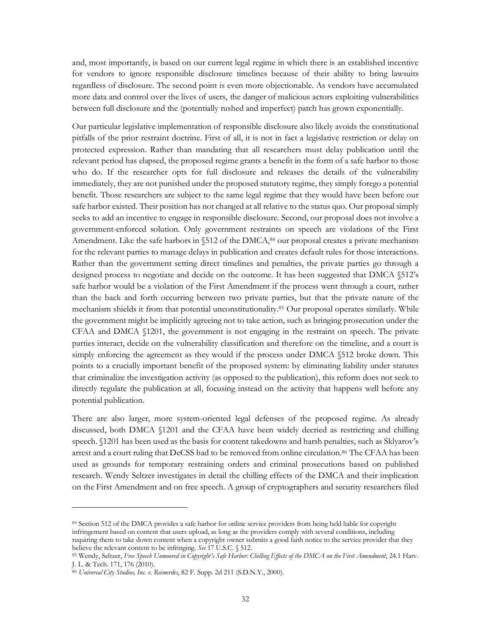and, most importantly, is based on our current legal regime in which there is an established incentive for vendors to ignore responsible disclosure timelines because of their ability to bring lawsuits regardless of disclosure. The second point is even more objectionable. As vendors have accumulated more data and control over the lives of users, the danger of malicious actors exploiting vulnerabilities between full disclosure and the (potentially rushed and imperfect) patch has grown exponentially.

Our particular legislative implementation of responsible disclosure also likely avoids the constitutional pitfalls of the prior restraint doctrine. First of all, it is not in fact a legislative restriction or delay on protected expression. Rather than mandating that all researchers must delay publication until the relevant period has elapsed, the proposed regime grants a benefit in the form of a safe harbor to those who do. If the researcher opts for full disclosure and releases the details of the vulnerability immediately, they are not punished under the proposed statutory regime, they simply forego a potential benefit. Those researchers are subject to the same legal regime that they would have been before our safe harbor existed. Their position has not changed at all relative to the status quo. Our proposal simply seeks to add an incentive to engage in responsible disclosure. Second, our proposal does not involve a government-enforced solution. Only government restraints on speech are violations of the First Amendment. Like the safe harbors in  $$512$  of the DMCA,<sup>84</sup> our proposal creates a private mechanism for the relevant parties to manage delays in publication and creates default rules for those interactions. Rather than the government setting direct timelines and penalties, the private parties go through a designed process to negotiate and decide on the outcome. It has been suggested that DMCA §512's safe harbor would be a violation of the First Amendment if the process went through a court, rather than the back and forth occurring between two private parties, but that the private nature of the mechanism shields it from that potential unconstitutionality.85 Our proposal operates similarly. While the government might be implicitly agreeing not to take action, such as bringing prosecution under the CFAA and DMCA §1201, the government is not engaging in the restraint on speech. The private parties interact, decide on the vulnerability classification and therefore on the timeline, and a court is simply enforcing the agreement as they would if the process under DMCA §512 broke down. This points to a crucially important benefit of the proposed system: by eliminating liability under statutes that criminalize the investigation activity (as opposed to the publication), this reform does not seek to directly regulate the publication at all, focusing instead on the activity that happens well before any potential publication.

There are also larger, more system-oriented legal defenses of the proposed regime. As already discussed, both DMCA §1201 and the CFAA have been widely decried as restricting and chilling speech. §1201 has been used as the basis for content takedowns and harsh penalties, such as Sklyarov's arrest and a court ruling that DeCSS had to be removed from online circulation.<sup>86</sup> The CFAA has been used as grounds for temporary restraining orders and criminal prosecutions based on published research. Wendy Seltzer investigates in detail the chilling effects of the DMCA and their implication on the First Amendment and on free speech. A group of cryptographers and security researchers filed

<sup>84</sup> Section 512 of the DMCA provides a safe harbor for online service providers from being held liable for copyright infringement based on content that users upload, as long as the providers comply with several conditions, including requiring them to take down content when a copyright owner submits a good faith notice to the service provider that they believe the relevant content to be infringing. *See* 17 U.S.C. § 512.

<sup>85</sup> Wendy, Seltzer, *Free Speech Unmoored in Copyright's Safe Harbor: Chilling Effects of the DMCA on the First Amendment*, 24.1 Harv. J. L. & Tech. 171, 176 (2010).

<sup>86</sup> *Universal City Studios, Inc. v. Reimerdes*, 82 F. Supp. 2d 211 (S.D.N.Y., 2000).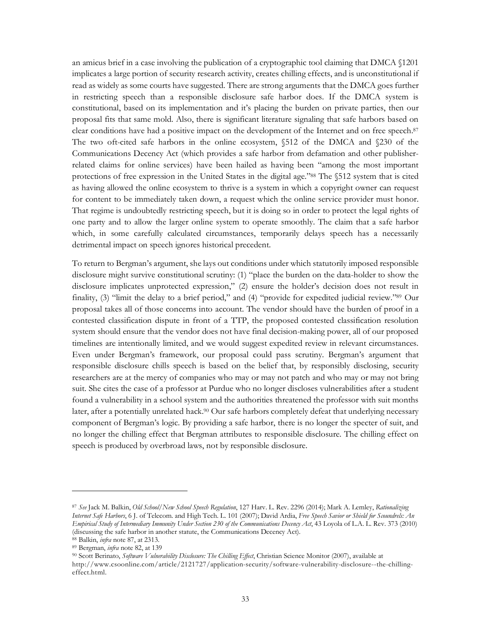an amicus brief in a case involving the publication of a cryptographic tool claiming that DMCA §1201 implicates a large portion of security research activity, creates chilling effects, and is unconstitutional if read as widely as some courts have suggested. There are strong arguments that the DMCA goes further in restricting speech than a responsible disclosure safe harbor does. If the DMCA system is constitutional, based on its implementation and it's placing the burden on private parties, then our proposal fits that same mold. Also, there is significant literature signaling that safe harbors based on clear conditions have had a positive impact on the development of the Internet and on free speech.87 The two oft-cited safe harbors in the online ecosystem, §512 of the DMCA and §230 of the Communications Decency Act (which provides a safe harbor from defamation and other publisherrelated claims for online services) have been hailed as having been "among the most important protections of free expression in the United States in the digital age."88 The §512 system that is cited as having allowed the online ecosystem to thrive is a system in which a copyright owner can request for content to be immediately taken down, a request which the online service provider must honor. That regime is undoubtedly restricting speech, but it is doing so in order to protect the legal rights of one party and to allow the larger online system to operate smoothly. The claim that a safe harbor which, in some carefully calculated circumstances, temporarily delays speech has a necessarily detrimental impact on speech ignores historical precedent.

To return to Bergman's argument, she lays out conditions under which statutorily imposed responsible disclosure might survive constitutional scrutiny: (1) "place the burden on the data-holder to show the disclosure implicates unprotected expression," (2) ensure the holder's decision does not result in finality, (3) "limit the delay to a brief period," and (4) "provide for expedited judicial review."89 Our proposal takes all of those concerns into account. The vendor should have the burden of proof in a contested classification dispute in front of a TTP, the proposed contested classification resolution system should ensure that the vendor does not have final decision-making power, all of our proposed timelines are intentionally limited, and we would suggest expedited review in relevant circumstances. Even under Bergman's framework, our proposal could pass scrutiny. Bergman's argument that responsible disclosure chills speech is based on the belief that, by responsibly disclosing, security researchers are at the mercy of companies who may or may not patch and who may or may not bring suit. She cites the case of a professor at Purdue who no longer discloses vulnerabilities after a student found a vulnerability in a school system and the authorities threatened the professor with suit months later, after a potentially unrelated hack.90 Our safe harbors completely defeat that underlying necessary component of Bergman's logic. By providing a safe harbor, there is no longer the specter of suit, and no longer the chilling effect that Bergman attributes to responsible disclosure. The chilling effect on speech is produced by overbroad laws, not by responsible disclosure.

<sup>87</sup> *See* Jack M. Balkin, *Old School/New School Speech Regulation*, 127 Harv. L. Rev. 2296 (2014); Mark A. Lemley, *Rationalizing Internet Safe Harbors*, 6 J. of Telecom. and High Tech. L. 101 (2007); David Ardia, *Free Speech Savior or Shield for Scoundrels: An Empirical Study of Intermediary Immunity Under Section 230 of the Communications Decency Act*, 43 Loyola of L.A. L. Rev. 373 (2010) (discussing the safe harbor in another statute, the Communications Decency Act).

<sup>88</sup> Balkin, *infra* note 87, at 2313.

<sup>89</sup> Bergman, *infra* note 82, at 139

<sup>90</sup> Scott Berinato, *Software Vulnerability Disclosure: The Chilling Effect*, Christian Science Monitor (2007), available at http://www.csoonline.com/article/2121727/application-security/software-vulnerability-disclosure--the-chillingeffect.html.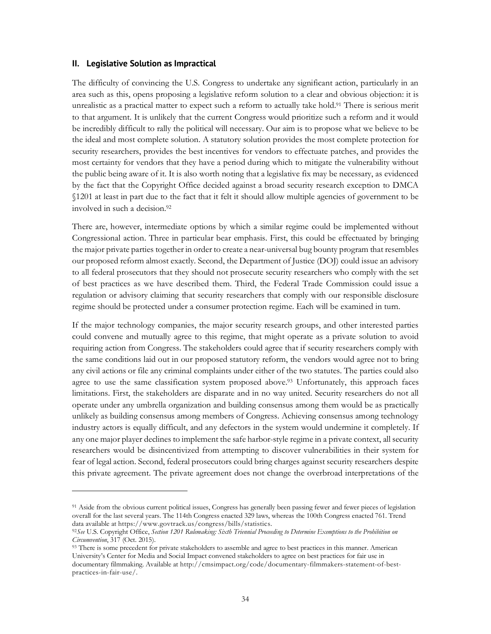#### **II. Legislative Solution as Impractical**

 

The difficulty of convincing the U.S. Congress to undertake any significant action, particularly in an area such as this, opens proposing a legislative reform solution to a clear and obvious objection: it is unrealistic as a practical matter to expect such a reform to actually take hold.<sup>91</sup> There is serious merit to that argument. It is unlikely that the current Congress would prioritize such a reform and it would be incredibly difficult to rally the political will necessary. Our aim is to propose what we believe to be the ideal and most complete solution. A statutory solution provides the most complete protection for security researchers, provides the best incentives for vendors to effectuate patches, and provides the most certainty for vendors that they have a period during which to mitigate the vulnerability without the public being aware of it. It is also worth noting that a legislative fix may be necessary, as evidenced by the fact that the Copyright Office decided against a broad security research exception to DMCA §1201 at least in part due to the fact that it felt it should allow multiple agencies of government to be involved in such a decision. 92

There are, however, intermediate options by which a similar regime could be implemented without Congressional action. Three in particular bear emphasis. First, this could be effectuated by bringing the major private parties together in order to create a near-universal bug bounty program that resembles our proposed reform almost exactly. Second, the Department of Justice (DOJ) could issue an advisory to all federal prosecutors that they should not prosecute security researchers who comply with the set of best practices as we have described them. Third, the Federal Trade Commission could issue a regulation or advisory claiming that security researchers that comply with our responsible disclosure regime should be protected under a consumer protection regime. Each will be examined in turn.

If the major technology companies, the major security research groups, and other interested parties could convene and mutually agree to this regime, that might operate as a private solution to avoid requiring action from Congress. The stakeholders could agree that if security researchers comply with the same conditions laid out in our proposed statutory reform, the vendors would agree not to bring any civil actions or file any criminal complaints under either of the two statutes. The parties could also agree to use the same classification system proposed above.<sup>93</sup> Unfortunately, this approach faces limitations. First, the stakeholders are disparate and in no way united. Security researchers do not all operate under any umbrella organization and building consensus among them would be as practically unlikely as building consensus among members of Congress. Achieving consensus among technology industry actors is equally difficult, and any defectors in the system would undermine it completely. If any one major player declines to implement the safe harbor-style regime in a private context, all security researchers would be disincentivized from attempting to discover vulnerabilities in their system for fear of legal action. Second, federal prosecutors could bring charges against security researchers despite this private agreement. The private agreement does not change the overbroad interpretations of the

<sup>91</sup> Aside from the obvious current political issues, Congress has generally been passing fewer and fewer pieces of legislation overall for the last several years. The 114th Congress enacted 329 laws, whereas the 100th Congress enacted 761. Trend data available at https://www.govtrack.us/congress/bills/statistics.

<sup>92</sup>*See* U.S. Copyright Office, *Section 1201 Rulemaking: Sixth Triennial Proceeding to Determine Exemptions to the Prohibition on Circumvention*, 317 (Oct. 2015).

<sup>93</sup> There is some precedent for private stakeholders to assemble and agree to best practices in this manner. American University's Center for Media and Social Impact convened stakeholders to agree on best practices for fair use in documentary filmmaking. Available at http://cmsimpact.org/code/documentary-filmmakers-statement-of-bestpractices-in-fair-use/.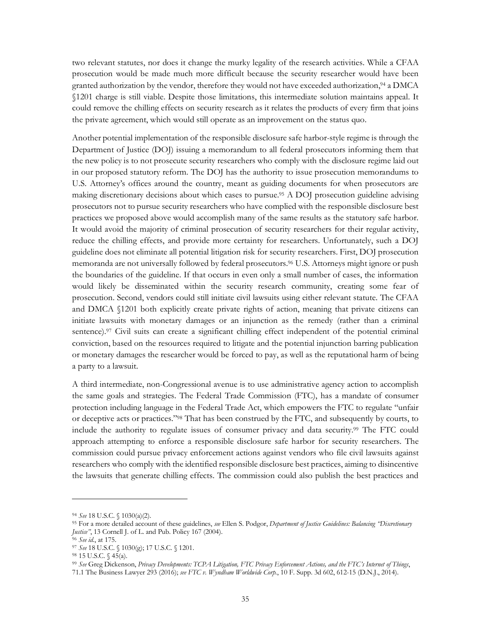two relevant statutes, nor does it change the murky legality of the research activities. While a CFAA prosecution would be made much more difficult because the security researcher would have been granted authorization by the vendor, therefore they would not have exceeded authorization,<sup>94</sup> a DMCA §1201 charge is still viable. Despite those limitations, this intermediate solution maintains appeal. It could remove the chilling effects on security research as it relates the products of every firm that joins the private agreement, which would still operate as an improvement on the status quo.

Another potential implementation of the responsible disclosure safe harbor-style regime is through the Department of Justice (DOJ) issuing a memorandum to all federal prosecutors informing them that the new policy is to not prosecute security researchers who comply with the disclosure regime laid out in our proposed statutory reform. The DOJ has the authority to issue prosecution memorandums to U.S. Attorney's offices around the country, meant as guiding documents for when prosecutors are making discretionary decisions about which cases to pursue.95 A DOJ prosecution guideline advising prosecutors not to pursue security researchers who have complied with the responsible disclosure best practices we proposed above would accomplish many of the same results as the statutory safe harbor. It would avoid the majority of criminal prosecution of security researchers for their regular activity, reduce the chilling effects, and provide more certainty for researchers. Unfortunately, such a DOJ guideline does not eliminate all potential litigation risk for security researchers. First, DOJ prosecution memoranda are not universally followed by federal prosecutors.96 U.S. Attorneys might ignore or push the boundaries of the guideline. If that occurs in even only a small number of cases, the information would likely be disseminated within the security research community, creating some fear of prosecution. Second, vendors could still initiate civil lawsuits using either relevant statute. The CFAA and DMCA §1201 both explicitly create private rights of action, meaning that private citizens can initiate lawsuits with monetary damages or an injunction as the remedy (rather than a criminal sentence).<sup>97</sup> Civil suits can create a significant chilling effect independent of the potential criminal conviction, based on the resources required to litigate and the potential injunction barring publication or monetary damages the researcher would be forced to pay, as well as the reputational harm of being a party to a lawsuit.

A third intermediate, non-Congressional avenue is to use administrative agency action to accomplish the same goals and strategies. The Federal Trade Commission (FTC), has a mandate of consumer protection including language in the Federal Trade Act, which empowers the FTC to regulate "unfair or deceptive acts or practices."98 That has been construed by the FTC, and subsequently by courts, to include the authority to regulate issues of consumer privacy and data security.99 The FTC could approach attempting to enforce a responsible disclosure safe harbor for security researchers. The commission could pursue privacy enforcement actions against vendors who file civil lawsuits against researchers who comply with the identified responsible disclosure best practices, aiming to disincentive the lawsuits that generate chilling effects. The commission could also publish the best practices and

<sup>94</sup> *See* 18 U.S.C. § 1030(a)(2).

<sup>95</sup> For a more detailed account of these guidelines, *see* Ellen S. Podgor, *Department of Justice Guidelines: Balancing "Discretionary Justice"*, 13 Cornell J. of L. and Pub. Policy 167 (2004).

<sup>96</sup> *See id.*, at 175.

<sup>97</sup> *See* 18 U.S.C. § 1030(g); 17 U.S.C. § 1201.

<sup>98</sup> 15 U.S.C. § 45(a).

<sup>99</sup> *See* Greg Dickenson, *Privacy Developments: TCPA Litigation, FTC Privacy Enforcement Actions, and the FTC's Internet of Things*,

<sup>71.1</sup> The Business Lawyer 293 (2016); *see FTC v. Wyndham Worldwide Corp.*, 10 F. Supp. 3d 602, 612-15 (D.N.J., 2014).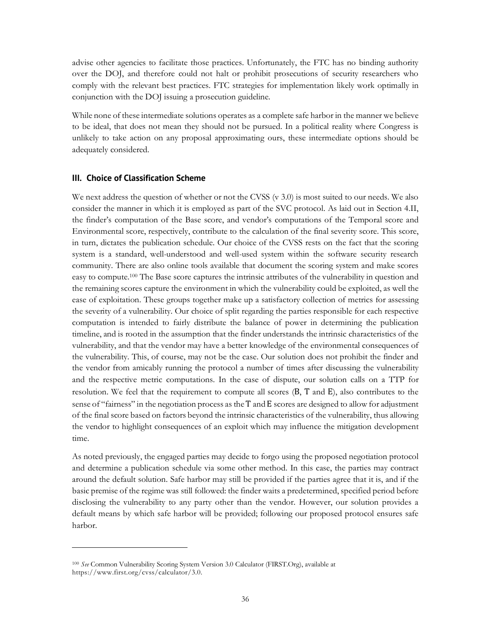advise other agencies to facilitate those practices. Unfortunately, the FTC has no binding authority over the DOJ, and therefore could not halt or prohibit prosecutions of security researchers who comply with the relevant best practices. FTC strategies for implementation likely work optimally in conjunction with the DOJ issuing a prosecution guideline.

While none of these intermediate solutions operates as a complete safe harbor in the manner we believe to be ideal, that does not mean they should not be pursued. In a political reality where Congress is unlikely to take action on any proposal approximating ours, these intermediate options should be adequately considered.

#### **III. Choice of Classification Scheme**

We next address the question of whether or not the CVSS  $(v 3.0)$  is most suited to our needs. We also consider the manner in which it is employed as part of the SVC protocol. As laid out in Section 4.II, the finder's computation of the Base score, and vendor's computations of the Temporal score and Environmental score, respectively, contribute to the calculation of the final severity score. This score, in turn, dictates the publication schedule. Our choice of the CVSS rests on the fact that the scoring system is a standard, well-understood and well-used system within the software security research community. There are also online tools available that document the scoring system and make scores easy to compute.100 The Base score captures the intrinsic attributes of the vulnerability in question and the remaining scores capture the environment in which the vulnerability could be exploited, as well the ease of exploitation. These groups together make up a satisfactory collection of metrics for assessing the severity of a vulnerability. Our choice of split regarding the parties responsible for each respective computation is intended to fairly distribute the balance of power in determining the publication timeline, and is rooted in the assumption that the finder understands the intrinsic characteristics of the vulnerability, and that the vendor may have a better knowledge of the environmental consequences of the vulnerability. This, of course, may not be the case. Our solution does not prohibit the finder and the vendor from amicably running the protocol a number of times after discussing the vulnerability and the respective metric computations. In the case of dispute, our solution calls on a TTP for resolution. We feel that the requirement to compute all scores (B, T and E), also contributes to the sense of "fairness" in the negotiation process as the T and E scores are designed to allow for adjustment of the final score based on factors beyond the intrinsic characteristics of the vulnerability, thus allowing the vendor to highlight consequences of an exploit which may influence the mitigation development time.

As noted previously, the engaged parties may decide to forgo using the proposed negotiation protocol and determine a publication schedule via some other method. In this case, the parties may contract around the default solution. Safe harbor may still be provided if the parties agree that it is, and if the basic premise of the regime was still followed: the finder waits a predetermined, specified period before disclosing the vulnerability to any party other than the vendor. However, our solution provides a default means by which safe harbor will be provided; following our proposed protocol ensures safe harbor.

<sup>100</sup> *See* Common Vulnerability Scoring System Version 3.0 Calculator (FIRST.Org), available at https://www.first.org/cvss/calculator/3.0.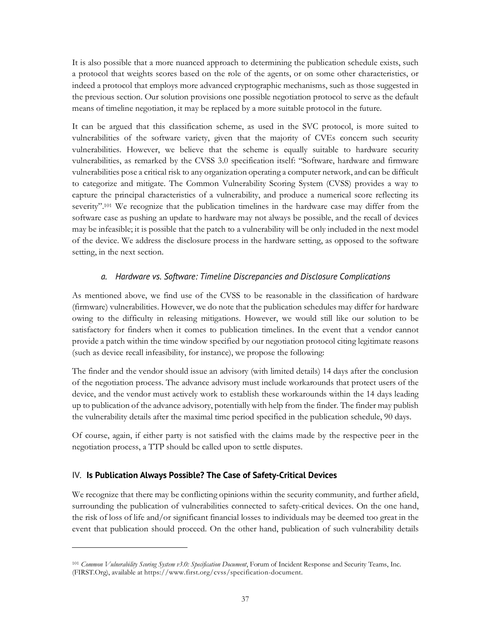It is also possible that a more nuanced approach to determining the publication schedule exists, such a protocol that weights scores based on the role of the agents, or on some other characteristics, or indeed a protocol that employs more advanced cryptographic mechanisms, such as those suggested in the previous section. Our solution provisions one possible negotiation protocol to serve as the default means of timeline negotiation, it may be replaced by a more suitable protocol in the future.

It can be argued that this classification scheme, as used in the SVC protocol, is more suited to vulnerabilities of the software variety, given that the majority of CVEs concern such security vulnerabilities. However, we believe that the scheme is equally suitable to hardware security vulnerabilities, as remarked by the CVSS 3.0 specification itself: "Software, hardware and firmware vulnerabilities pose a critical risk to any organization operating a computer network, and can be difficult to categorize and mitigate. The Common Vulnerability Scoring System (CVSS) provides a way to capture the principal characteristics of a vulnerability, and produce a numerical score reflecting its severity".<sup>101</sup> We recognize that the publication timelines in the hardware case may differ from the software case as pushing an update to hardware may not always be possible, and the recall of devices may be infeasible; it is possible that the patch to a vulnerability will be only included in the next model of the device. We address the disclosure process in the hardware setting, as opposed to the software setting, in the next section.

#### *a. Hardware vs. Software: Timeline Discrepancies and Disclosure Complications*

As mentioned above, we find use of the CVSS to be reasonable in the classification of hardware (firmware) vulnerabilities. However, we do note that the publication schedules may differ for hardware owing to the difficulty in releasing mitigations. However, we would still like our solution to be satisfactory for finders when it comes to publication timelines. In the event that a vendor cannot provide a patch within the time window specified by our negotiation protocol citing legitimate reasons (such as device recall infeasibility, for instance), we propose the following:

The finder and the vendor should issue an advisory (with limited details) 14 days after the conclusion of the negotiation process. The advance advisory must include workarounds that protect users of the device, and the vendor must actively work to establish these workarounds within the 14 days leading up to publication of the advance advisory, potentially with help from the finder. The finder may publish the vulnerability details after the maximal time period specified in the publication schedule, 90 days.

Of course, again, if either party is not satisfied with the claims made by the respective peer in the negotiation process, a TTP should be called upon to settle disputes.

#### IV. **Is Publication Always Possible? The Case of Safety-Critical Devices**

 

We recognize that there may be conflicting opinions within the security community, and further afield, surrounding the publication of vulnerabilities connected to safety-critical devices. On the one hand, the risk of loss of life and/or significant financial losses to individuals may be deemed too great in the event that publication should proceed. On the other hand, publication of such vulnerability details

<sup>101</sup> *Common Vulnerability Scoring System v3.0: Specification Document*, Forum of Incident Response and Security Teams, Inc. (FIRST.Org), available at https://www.first.org/cvss/specification-document.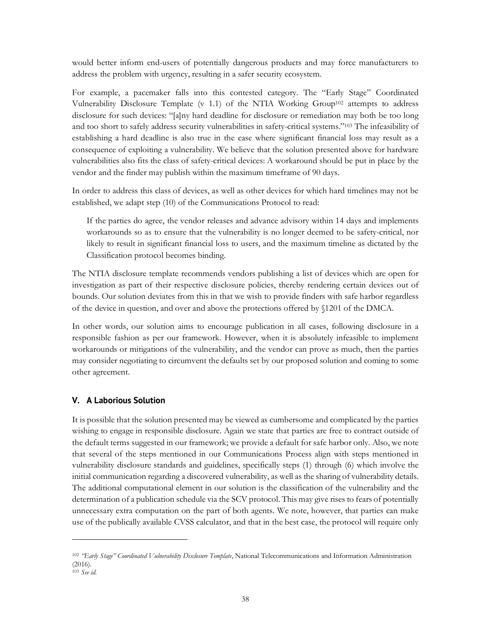would better inform end-users of potentially dangerous products and may force manufacturers to address the problem with urgency, resulting in a safer security ecosystem.

For example, a pacemaker falls into this contested category. The "Early Stage" Coordinated Vulnerability Disclosure Template (v 1.1) of the NTIA Working Group<sup>102</sup> attempts to address disclosure for such devices: "[a]ny hard deadline for disclosure or remediation may both be too long and too short to safely address security vulnerabilities in safety-critical systems."103 The infeasibility of establishing a hard deadline is also true in the case where significant financial loss may result as a consequence of exploiting a vulnerability. We believe that the solution presented above for hardware vulnerabilities also fits the class of safety-critical devices: A workaround should be put in place by the vendor and the finder may publish within the maximum timeframe of 90 days.

In order to address this class of devices, as well as other devices for which hard timelines may not be established, we adapt step (10) of the Communications Protocol to read:

If the parties do agree, the vendor releases and advance advisory within 14 days and implements workarounds so as to ensure that the vulnerability is no longer deemed to be safety-critical, nor likely to result in significant financial loss to users, and the maximum timeline as dictated by the Classification protocol becomes binding.

The NTIA disclosure template recommends vendors publishing a list of devices which are open for investigation as part of their respective disclosure policies, thereby rendering certain devices out of bounds. Our solution deviates from this in that we wish to provide finders with safe harbor regardless of the device in question, and over and above the protections offered by §1201 of the DMCA.

In other words, our solution aims to encourage publication in all cases, following disclosure in a responsible fashion as per our framework. However, when it is absolutely infeasible to implement workarounds or mitigations of the vulnerability, and the vendor can prove as much, then the parties may consider negotiating to circumvent the defaults set by our proposed solution and coming to some other agreement.

#### **V. A Laborious Solution**

 

It is possible that the solution presented may be viewed as cumbersome and complicated by the parties wishing to engage in responsible disclosure. Again we state that parties are free to contract outside of the default terms suggested in our framework; we provide a default for safe harbor only. Also, we note that several of the steps mentioned in our Communications Process align with steps mentioned in vulnerability disclosure standards and guidelines, specifically steps (1) through (6) which involve the initial communication regarding a discovered vulnerability, as well as the sharing of vulnerability details. The additional computational element in our solution is the classification of the vulnerability and the determination of a publication schedule via the SCV protocol. This may give rises to fears of potentially unnecessary extra computation on the part of both agents. We note, however, that parties can make use of the publically available CVSS calculator, and that in the best case, the protocol will require only

<sup>102</sup> *"Early Stage" Coordinated Vulnerability Disclosure Template*, National Telecommunications and Information Administration (2016).

<sup>103</sup> *See id.*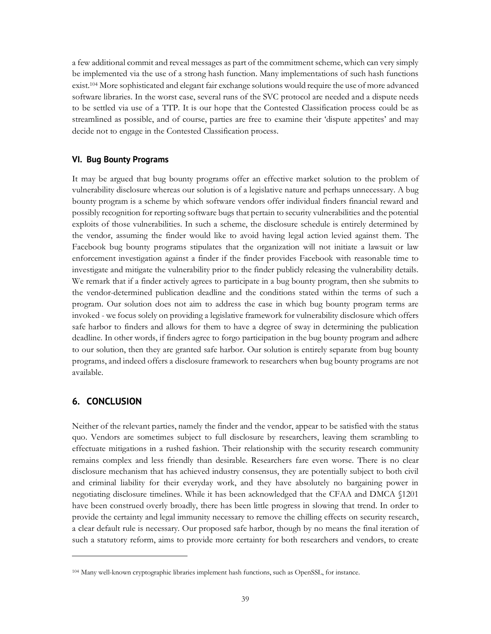a few additional commit and reveal messages as part of the commitment scheme, which can very simply be implemented via the use of a strong hash function. Many implementations of such hash functions exist. <sup>104</sup> More sophisticated and elegant fair exchange solutions would require the use of more advanced software libraries. In the worst case, several runs of the SVC protocol are needed and a dispute needs to be settled via use of a TTP. It is our hope that the Contested Classification process could be as streamlined as possible, and of course, parties are free to examine their 'dispute appetites' and may decide not to engage in the Contested Classification process.

#### **VI. Bug Bounty Programs**

It may be argued that bug bounty programs offer an effective market solution to the problem of vulnerability disclosure whereas our solution is of a legislative nature and perhaps unnecessary. A bug bounty program is a scheme by which software vendors offer individual finders financial reward and possibly recognition for reporting software bugs that pertain to security vulnerabilities and the potential exploits of those vulnerabilities. In such a scheme, the disclosure schedule is entirely determined by the vendor, assuming the finder would like to avoid having legal action levied against them. The Facebook bug bounty programs stipulates that the organization will not initiate a lawsuit or law enforcement investigation against a finder if the finder provides Facebook with reasonable time to investigate and mitigate the vulnerability prior to the finder publicly releasing the vulnerability details. We remark that if a finder actively agrees to participate in a bug bounty program, then she submits to the vendor-determined publication deadline and the conditions stated within the terms of such a program. Our solution does not aim to address the case in which bug bounty program terms are invoked - we focus solely on providing a legislative framework for vulnerability disclosure which offers safe harbor to finders and allows for them to have a degree of sway in determining the publication deadline. In other words, if finders agree to forgo participation in the bug bounty program and adhere to our solution, then they are granted safe harbor. Our solution is entirely separate from bug bounty programs, and indeed offers a disclosure framework to researchers when bug bounty programs are not available.

#### **6. CONCLUSION**

 

Neither of the relevant parties, namely the finder and the vendor, appear to be satisfied with the status quo. Vendors are sometimes subject to full disclosure by researchers, leaving them scrambling to effectuate mitigations in a rushed fashion. Their relationship with the security research community remains complex and less friendly than desirable. Researchers fare even worse. There is no clear disclosure mechanism that has achieved industry consensus, they are potentially subject to both civil and criminal liability for their everyday work, and they have absolutely no bargaining power in negotiating disclosure timelines. While it has been acknowledged that the CFAA and DMCA §1201 have been construed overly broadly, there has been little progress in slowing that trend. In order to provide the certainty and legal immunity necessary to remove the chilling effects on security research, a clear default rule is necessary. Our proposed safe harbor, though by no means the final iteration of such a statutory reform, aims to provide more certainty for both researchers and vendors, to create

<sup>104</sup> Many well-known cryptographic libraries implement hash functions, such as OpenSSL, for instance.